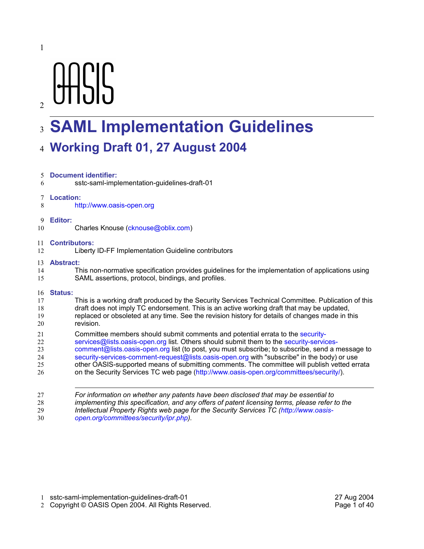# **AASIS**

# **SAML Implementation Guidelines** 3

# **Working Draft 01, 27 August 2004** 4

| 5. | <b>Document identifier:</b>                                                                        |  |  |
|----|----------------------------------------------------------------------------------------------------|--|--|
| 6  | sstc-saml-implementation-guidelines-draft-01                                                       |  |  |
| 7  | Location:                                                                                          |  |  |
| 8  | http://www.oasis-open.org                                                                          |  |  |
| 9  | Editor:                                                                                            |  |  |
| 10 | Charles Knouse (cknouse@oblix.com)                                                                 |  |  |
| 11 | <b>Contributors:</b>                                                                               |  |  |
| 12 | Liberty ID-FF Implementation Guideline contributors                                                |  |  |
| 13 | <b>Abstract:</b>                                                                                   |  |  |
| 14 | This non-normative specification provides guidelines for the implementation of applications using  |  |  |
| 15 | SAML assertions, protocol, bindings, and profiles.                                                 |  |  |
| 16 | <b>Status:</b>                                                                                     |  |  |
| 17 | This is a working draft produced by the Security Services Technical Committee. Publication of this |  |  |
| 18 | draft does not imply TC endorsement. This is an active working draft that may be updated,          |  |  |
| 19 | replaced or obsoleted at any time. See the revision history for details of changes made in this    |  |  |
| 20 | revision.                                                                                          |  |  |
| 21 | Committee members should submit comments and potential errata to the security-                     |  |  |
| 22 | services@lists.oasis-open.org list. Others should submit them to the security-services-            |  |  |
| 23 | comment@lists.oasis-open.org list (to post, you must subscribe; to subscribe, send a message to    |  |  |
| 24 | security-services-comment-request@lists.oasis-open.org with "subscribe" in the body) or use        |  |  |
| 25 | other OASIS-supported means of submitting comments. The committee will publish vetted errata       |  |  |
| 26 | on the Security Services TC web page (http://www.oasis-open.org/committees/security/).             |  |  |
| 27 | For information on whether any patents have been disclosed that may be essential to                |  |  |
| 28 | implementing this specification, and any offers of patent licensing terms, please refer to the     |  |  |
| 29 | Intellectual Property Rights web page for the Security Services TC (http://www.oasis-              |  |  |

*open.org/committees/security/ipr.php).* 30

sstc-saml-implementation-guidelines-draft-01 27 Aug 2004 1

2 Copyright © OASIS Open 2004. All Rights Reserved. Page 1 of 40

 $\overline{2}$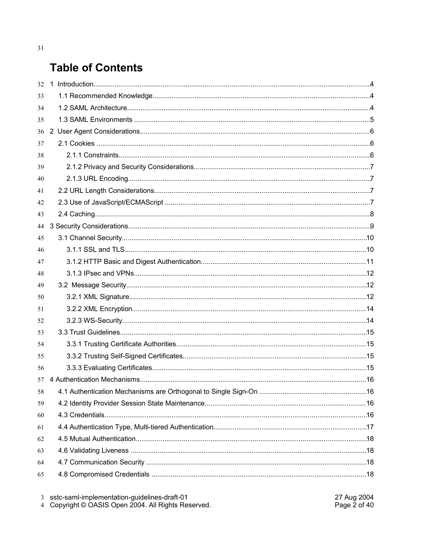# **Table of Contents**

| 32 |  |  |
|----|--|--|
| 33 |  |  |
| 34 |  |  |
| 35 |  |  |
| 36 |  |  |
| 37 |  |  |
| 38 |  |  |
| 39 |  |  |
| 40 |  |  |
| 41 |  |  |
| 42 |  |  |
| 43 |  |  |
| 44 |  |  |
| 45 |  |  |
| 46 |  |  |
| 47 |  |  |
| 48 |  |  |
| 49 |  |  |
| 50 |  |  |
| 51 |  |  |
| 52 |  |  |
| 53 |  |  |
| 54 |  |  |
| 55 |  |  |
| 56 |  |  |
| 57 |  |  |
| 58 |  |  |
| 59 |  |  |
| 60 |  |  |
| 61 |  |  |
| 62 |  |  |
| 63 |  |  |
| 64 |  |  |
| 65 |  |  |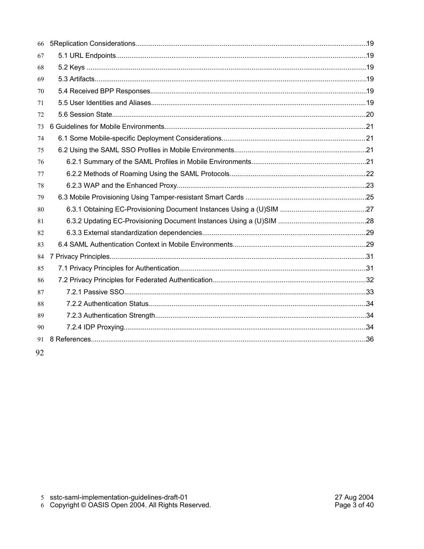| 66 |  |
|----|--|
| 67 |  |
| 68 |  |
| 69 |  |
| 70 |  |
| 71 |  |
| 72 |  |
| 73 |  |
| 74 |  |
| 75 |  |
| 76 |  |
| 77 |  |
| 78 |  |
| 79 |  |
| 80 |  |
| 81 |  |
| 82 |  |
| 83 |  |
| 84 |  |
| 85 |  |
| 86 |  |
| 87 |  |
| 88 |  |
| 89 |  |
| 90 |  |
| 91 |  |
|    |  |

92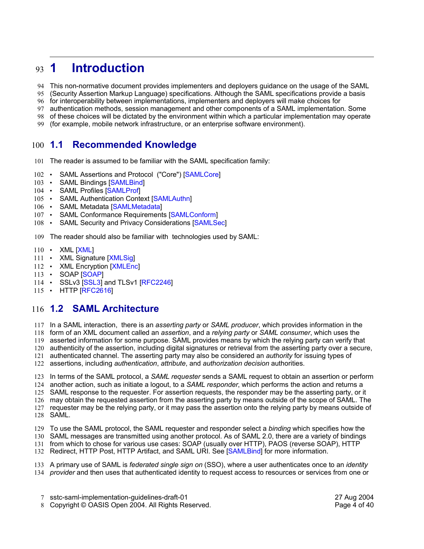### **1 Introduction** 93 1

- This non-normative document provides implementers and deployers guidance on the usage of the SAML 94
- (Security Assertion Markup Language) specifications. Although the SAML specifications provide a basis 95
- for interoperability between implementations, implementers and deployers will make choices for 96
- authentication methods, session management and other components of a SAML implementation. Some 97
- of these choices will be dictated by the environment within which a particular implementation may operate 98
- (for example, mobile network infrastructure, or an enterprise software environment). 99

#### **1.1 Recommended Knowledge** 100  $1.1$

- 101 The reader is assumed to be familiar with the SAML specification family:
- 102 SAML Assertions and Protocol ("Core") [SAMLCore]
- 103 SAML Bindings [SAMLBind]
- 104 SAML Profiles [SAMLProf]
- 105 SAML Authentication Context [SAMLAuthn]
- 106 SAML Metadata [SAMLMetadata]
- 107 SAML Conformance Requirements [SAMLConform]
- 108 SAML Security and Privacy Considerations [SAMLSec]
- The reader should also be familiar with technologies used by SAML: 109
- 110 XML [XML]
- 111 XML Signature [XMLSig]
- XML Encryption [XMLEnc]  $112$   $\cdot$
- SOAP [SOAP]  $113 -$
- 114 SSLv3 [SSL3] and TLSv1 [RFC2246]
- 115 HTTP [RFC2616]

### **1.2 SAML Architecture** 116

- 117 In a SAML interaction, there is an *asserting party* or *SAML producer*, which provides information in the form of an XML document called an *assertion*, and a *relying party* or *SAML consumer*, which uses the 118
- asserted information for some purpose. SAML provides means by which the relying party can verify that 119
- authenticity of the assertion, including digital signatures or retrieval from the asserting party over a secure, authenticated channel. The asserting party may also be considered an *authority* for issuing types of 120 121
- assertions, including *authentication*, *attribute*, and *authorization decision* authorities. 122
- 123 In terms of the SAML protocol, a SAML requester sends a SAML request to obtain an assertion or perform
- another action, such as initiate a logout, to a *SAML responder*, which performs the action and returns a 124
- SAML response to the requester. For assertion requests, the responder may be the asserting party, or it 125
- 126 may obtain the requested assertion from the asserting party by means outside of the scope of SAML. The requester may be the relying party, or it may pass the assertion onto the relying party by means outside of 127
- SAML. 128
- 129 To use the SAML protocol, the SAML requester and responder select a binding which specifies how the
- 130 SAML messages are transmitted using another protocol. As of SAML 2.0, there are a variety of bindings
- 131 from which to chose for various use cases: SOAP (usually over HTTP), PAOS (reverse SOAP), HTTP
- 132 Redirect, HTTP Post, HTTP Artifact, and SAML URI. See [SAMLBind] for more information.
- A primary use of SAML is *federated single sign on* (SSO), where a user authenticates once to an *identity* 133 134 *provider* and then uses that authenticated identity to request access to resources or services from one or
	- sstc-saml-implementation-guidelines-draft-01 27 Aug 2004 7
	- 8 Copyright © OASIS Open 2004. All Rights Reserved. Page 4 of 40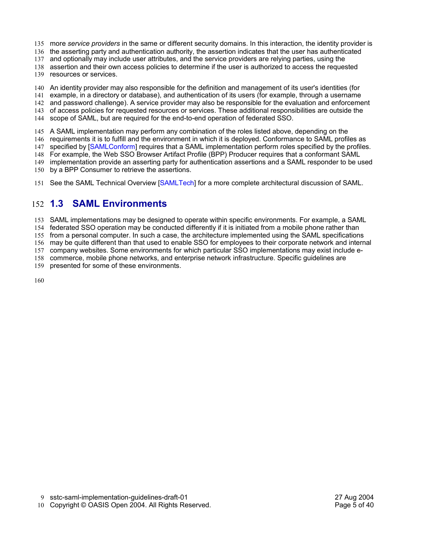- 135 more service providers in the same or different security domains. In this interaction, the identity provider is
- 136 the asserting party and authentication authority, the assertion indicates that the user has authenticated
- 137 and optionally may include user attributes, and the service providers are relying parties, using the
- 138 assertion and their own access policies to determine if the user is authorized to access the requested
- 139 resources or services.
- An identity provider may also responsible for the definition and management of its user's identities (for 140
- example, in a directory or database), and authentication of its users (for example, through a username 141
- and password challenge). A service provider may also be responsible for the evaluation and enforcement 142
- 143 of access policies for requested resources or services. These additional responsibilities are outside the
- 144 scope of SAML, but are required for the end-to-end operation of federated SSO.
- 145 A SAML implementation may perform any combination of the roles listed above, depending on the
- 146 requirements it is to fulfill and the environment in which it is deployed. Conformance to SAML profiles as
- 147 specified by [SAMLConform] requires that a SAML implementation perform roles specified by the profiles.
- 148 For example, the Web SSO Browser Artifact Profile (BPP) Producer requires that a conformant SAML
- 149 implementation provide an asserting party for authentication assertions and a SAML responder to be used
- 150 by a BPP Consumer to retrieve the assertions.
- 151 See the SAML Technical Overview [SAMLTech] for a more complete architectural discussion of SAML.

#### **1.3 SAML Environments**   $152 \quad 1.3$

153 SAML implementations may be designed to operate within specific environments. For example, a SAML

federated SSO operation may be conducted differently if it is initiated from a mobile phone rather than 154

155 from a personal computer. In such a case, the architecture implemented using the SAML specifications

156 may be quite different than that used to enable SSO for employees to their corporate network and internal

- company websites. Some environments for which particular SSO implementations may exist include e-157
- 158 commerce, mobile phone networks, and enterprise network infrastructure. Specific guidelines are presented for some of these environments. 159
- 160

sstc-saml-implementation-guidelines-draft-01 27 Aug 2004 9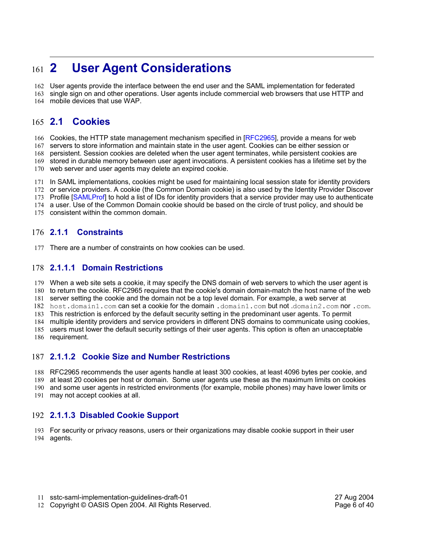### **2 User Agent Considerations**  $161$  2

162 User agents provide the interface between the end user and the SAML implementation for federated

163 single sign on and other operations. User agents include commercial web browsers that use HTTP and mobile devices that use WAP. 164

#### **2.1 Cookies**  165 **2.1**

166 Cookies, the HTTP state management mechanism specified in [RFC2965], provide a means for web

167 servers to store information and maintain state in the user agent. Cookies can be either session or

persistent. Session cookies are deleted when the user agent terminates, while persistent cookies are 168

169 stored in durable memory between user agent invocations. A persistent cookies has a lifetime set by the

170 web server and user agents may delete an expired cookie.

171 In SAML implementations, cookies might be used for maintaining local session state for identity providers

172 or service providers. A cookie (the Common Domain cookie) is also used by the Identity Provider Discover

173 Profile [SAMLProf] to hold a list of IDs for identity providers that a service provider may use to authenticate

174 a user. Use of the Common Domain cookie should be based on the circle of trust policy, and should be

175 consistent within the common domain.

#### **2.1.1 Constraints**  $176$  **2.1.1**

177 There are a number of constraints on how cookies can be used.

### **2.1.1.1 Domain Restrictions** 178

179 When a web site sets a cookie, it may specify the DNS domain of web servers to which the user agent is

180 to return the cookie. RFC2965 requires that the cookie's domain domain-match the host name of the web

181 server setting the cookie and the domain not be a top level domain. For example, a web server at

host.domain1.com can set a cookie for the domain .domain1.com but not .domain2.com nor .com. 182

This restriction is enforced by the default security setting in the predominant user agents. To permit 183 multiple identity providers and service providers in different DNS domains to communicate using cookies, 184

users must lower the default security settings of their user agents. This option is often an unacceptable 185

186 requirement.

### **2.1.1.2 Cookie Size and Number Restrictions** 187

RFC2965 recommends the user agents handle at least 300 cookies, at least 4096 bytes per cookie, and 188

at least 20 cookies per host or domain. Some user agents use these as the maximum limits on cookies 189

190 and some user agents in restricted environments (for example, mobile phones) may have lower limits or

may not accept cookies at all. 191

### **2.1.1.3 Disabled Cookie Support** 192

For security or privacy reasons, users or their organizations may disable cookie support in their user 193 194 agents.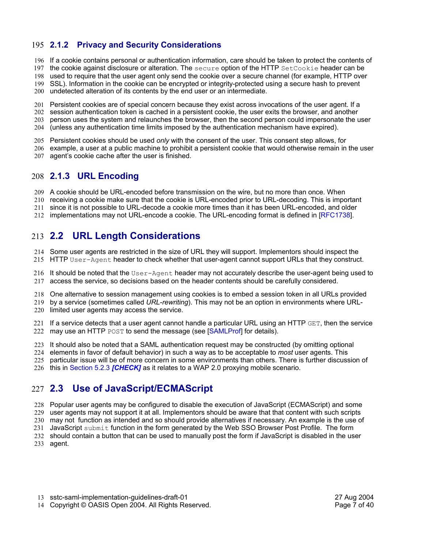### **2.1.2 Privacy and Security Considerations** 195

- 196 If a cookie contains personal or authentication information, care should be taken to protect the contents of
- 197 the cookie against disclosure or alteration. The secure option of the HTTP SetCookie header can be
- used to require that the user agent only send the cookie over a secure channel (for example, HTTP over 198
- SSL). Information in the cookie can be encrypted or integrity-protected using a secure hash to prevent 199
- 200 undetected alteration of its contents by the end user or an intermediate.

Persistent cookies are of special concern because they exist across invocations of the user agent. If a 201

- 202 session authentication token is cached in a persistent cookie, the user exits the browser, and another
- person uses the system and relaunches the browser, then the second person could impersonate the user 203
- (unless any authentication time limits imposed by the authentication mechanism have expired). 204
- 205 Persistent cookies should be used *only* with the consent of the user. This consent step allows, for
- 206 example, a user at a public machine to prohibit a persistent cookie that would otherwise remain in the user
- 207 agent's cookie cache after the user is finished.

### **2.1.3 URL Encoding** 208

- 209 A cookie should be URL-encoded before transmission on the wire, but no more than once. When
- 210 receiving a cookie make sure that the cookie is URL-encoded prior to URL-decoding. This is important
- 211 since it is not possible to URL-decode a cookie more times than it has been URL-encoded, and older
- 212 implementations may not URL-encode a cookie. The URL-encoding format is defined in [RFC1738].

# **2.2 URL Length Considerations** 213

- 214 Some user agents are restricted in the size of URL they will support. Implementors should inspect the
- 215 HTTP User-Agent header to check whether that user-agent cannot support URLs that they construct.
- 216 It should be noted that the  $\texttt{User-Agent}$  header may not accurately describe the user-agent being used to 217 access the service, so decisions based on the header contents should be carefully considered.
- 218 One alternative to session management using cookies is to embed a session token in all URLs provided
- by a service (sometimes called *URL-rewriting*). This may not be an option in environments where URL-219
- 220 limited user agents may access the service.
- If a service detects that a user agent cannot handle a particular URL using an HTTP GET, then the service 222 may use an HTTP POST to send the message (see [SAMLProf] for details). 221
- 223 It should also be noted that a SAML authentication request may be constructed (by omitting optional
- elements in favor of default behavior) in such a way as to be acceptable to *most* user agents. This 224
- particular issue will be of more concern in some environments than others. There is further discussion of 225
- 226 this in Section 5.2.3 *[CHECK]* as it relates to a WAP 2.0 proxying mobile scenario.

# **2.3 Use of JavaScript/ECMAScript**  227

- 228 Popular user agents may be configured to disable the execution of JavaScript (ECMAScript) and some
- 229 user agents may not support it at all. Implementors should be aware that that content with such scripts
- 230 may not function as intended and so should provide alternatives if necessary. An example is the use of
- 231 JavaScript submit function in the form generated by the Web SSO Browser Post Profile. The form
- 232 should contain a button that can be used to manually post the form if JavaScript is disabled in the user
- 233 agent.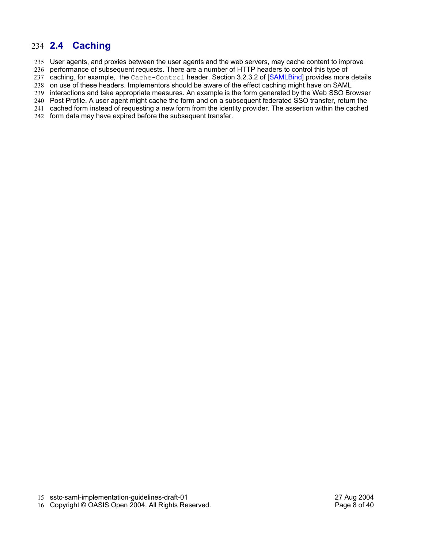### **2.4 Caching** 234

235 User agents, and proxies between the user agents and the web servers, may cache content to improve

236 performance of subsequent requests. There are a number of HTTP headers to control this type of

237 caching, for example, the Cache-Control header. Section 3.2.3.2 of [SAMLBind] provides more details

238 on use of these headers. Implementors should be aware of the effect caching might have on SAML

interactions and take appropriate measures. An example is the form generated by the Web SSO Browser 239

240 Post Profile. A user agent might cache the form and on a subsequent federated SSO transfer, return the

cached form instead of requesting a new form from the identity provider. The assertion within the cached 241

242 form data may have expired before the subsequent transfer.

16 Copyright © OASIS Open 2004. All Rights Reserved. The example of the Rage 8 of 40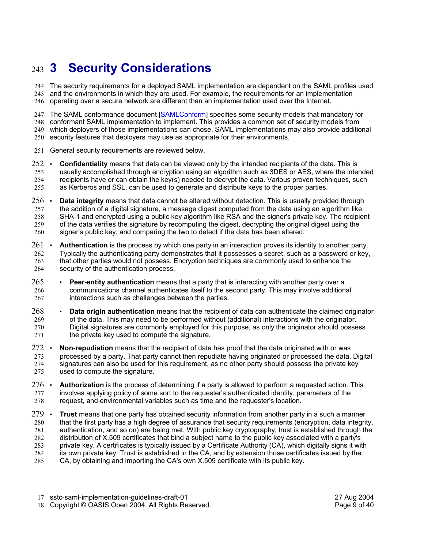### **3 Security Considerations**  $243 \quad 3$

The security requirements for a deployed SAML implementation are dependent on the SAML profiles used 244 245 and the environments in which they are used. For example, the requirements for an implementation operating over a secure network are different than an implementation used over the Internet. 246

247 The SAML conformance document [SAMLConform] specifies some security models that mandatory for conformant SAML implementation to implement. This provides a common set of security models from 248 which deployers of those implementations can chose. SAML implementations may also provide additional 249 250 security features that deployers may use as appropriate for their environments.

- 251 General security requirements are reviewed below.
- **Confidentiality** means that data can be viewed only by the intended recipients of the data. This is usually accomplished through encryption using an algorithm such as 3DES or AES, where the intended recipients have or can obtain the key(s) needed to decrypt the data. Various proven techniques, such as Kerberos and SSL, can be used to generate and distribute keys to the proper parties.  $252$   $\cdot$ 253 254 255
- **Data integrity** means that data cannot be altered without detection. This is usually provided through the addition of a digital signature, a message digest computed from the data using an algorithm like SHA-1 and encrypted using a public key algorithm like RSA and the signer's private key. The recipient of the data verifies the signature by recomputing the digest, decrypting the original digest using the signer's public key, and comparing the two to detect if the data has been altered.  $256$   $\cdot$ 257 258 259 260
- **Authentication** is the process by which one party in an interaction proves its identity to another party. Typically the authenticating party demonstrates that it possesses a secret, such as a password or key, that other parties would not possess. Encryption techniques are commonly used to enhance the security of the authentication process.  $261$   $\cdot$ 262 263 264
- **Peer-entity authentication** means that a party that is interacting with another party over a communications channel authenticates itself to the second party. This may involve additional interactions such as challenges between the parties. 265 266 267
- **Data origin authentication** means that the recipient of data can authenticate the claimed originator of the data. This may need to be performed without (additional) interactions with the originator. Digital signatures are commonly employed for this purpose, as only the originator should possess the private key used to compute the signature. 268 269 270 271
- **Non-repudiation** means that the recipient of data has proof that the data originated with or was processed by a party. That party cannot then repudiate having originated or processed the data. Digital signatures can also be used for this requirement, as no other party should possess the private key used to compute the signature.  $272$   $\cdot$ 273 274 275
- **Authorization** is the process of determining if a party is allowed to perform a requested action. This involves applying policy of some sort to the requester's authenticated identity, parameters of the request, and environmental variables such as time and the requester's location.  $276$   $\cdot$ 277 278
- **Trust** means that one party has obtained security information from another party in a such a manner that the first party has a high degree of assurance that security requirements (encryption, data integrity, authentication, and so on) are being met. With public key cryptography, trust is established through the distribution of X.509 certificates that bind a subject name to the public key associated with a party's private key. A certificates is typically issued by a Certificate Authority (CA), which digitally signs it with its own private key. Trust is established in the CA, and by extension those certificates issued by the CA, by obtaining and importing the CA's own X.509 certificate with its public key.  $279$  . 280 281 282 283 284 285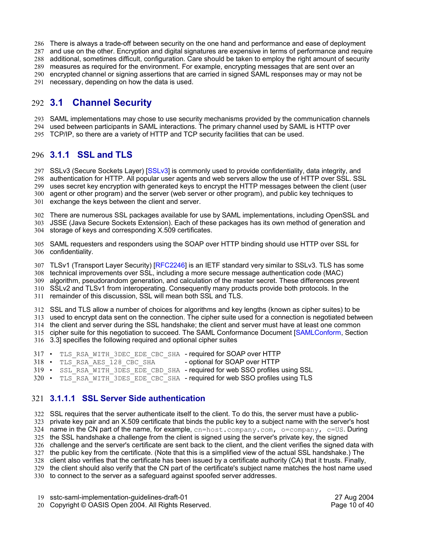286 There is always a trade-off between security on the one hand and performance and ease of deployment and use on the other. Encryption and digital signatures are expensive in terms of performance and require additional, sometimes difficult, configuration. Care should be taken to employ the right amount of security 288 measures as required for the environment. For example, encrypting messages that are sent over an 289 290 encrypted channel or signing assertions that are carried in signed SAML responses may or may not be 291 necessary, depending on how the data is used. 287

### **3.1 Channel Security** 292

SAML implementations may chose to use security mechanisms provided by the communication channels 293

used between participants in SAML interactions. The primary channel used by SAML is HTTP over 294 TCP/IP, so there are a variety of HTTP and TCP security facilities that can be used. 295

### **3.1.1 SSL and TLS** 296

297 SSLv3 (Secure Sockets Layer) [SSLv3] is commonly used to provide confidentiality, data integrity, and 298 authentication for HTTP. All popular user agents and web servers allow the use of HTTP over SSL. SSL uses secret key encryption with generated keys to encrypt the HTTP messages between the client (user 299 agent or other program) and the server (web server or other program), and public key techniques to 300 301 exchange the keys between the client and server.

There are numerous SSL packages available for use by SAML implementations, including OpenSSL and 302 JSSE (Java Secure Sockets Extension). Each of these packages has its own method of generation and 304 storage of keys and corresponding X.509 certificates. 303

SAML requesters and responders using the SOAP over HTTP binding should use HTTP over SSL for 305 306 confidentiality.

307 TLSv1 (Transport Layer Security) [RFC2246] is an IETF standard very similar to SSLv3. TLS has some 308 technical improvements over SSL, including a more secure message authentication code (MAC) algorithm, pseudorandom generation, and calculation of the master secret. These differences prevent 309 SSLv2 and TLSv1 from interoperating. Consequently many products provide both protocols. In the 310 311 remainder of this discussion, SSL will mean both SSL and TLS.

SSL and TLS allow a number of choices for algorithms and key lengths (known as cipher suites) to be 312 used to encrypt data sent on the connection. The cipher suite used for a connection is negotiated between 313 314 the client and server during the SSL handshake; the client and server must have at least one common 315 cipher suite for this negotiation to succeed. The SAML Conformance Document [SAMLConform, Section 3.3] specifies the following required and optional cipher suites 316

- 317 TLS\_RSA\_WITH\_3DEC\_EDE\_CBC\_SHA required for SOAP over HTTP
- 318 TLS\_RSA\_AES\_128\_CBC\_SHA optional for SOAP over HTTP
- 319 SSL RSA WITH 3DES EDE CBD SHA required for web SSO profiles using SSL
- 320 TLS\_RSA\_WITH\_3DES\_EDE\_CBC\_SHA required for web SSO profiles using TLS

### **3.1.1.1 SSL Server Side authentication** 321

SSL requires that the server authenticate itself to the client. To do this, the server must have a public-322 private key pair and an X.509 certificate that binds the public key to a subject name with the server's host 324 name in the CN part of the name, for example, cn=host.company.com, o=company, c=US. During the SSL handshake a challenge from the client is signed using the server's private key, the signed 325 challenge and the server's certificate are sent back to the client, and the client verifies the signed data with 326 the public key from the certificate. (Note that this is a simplified view of the actual SSL handshake.) The client also verifies that the certificate has been issued by a certificate authority (CA) that it trusts. Finally, 328 the client should also verify that the CN part of the certificate's subject name matches the host name used 330 to connect to the server as a safeguard against spoofed server addresses. 323 327 329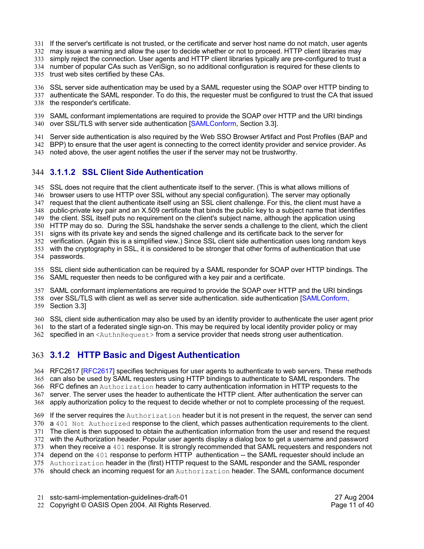- If the server's certificate is not trusted, or the certificate and server host name do not match, user agents 331
- may issue a warning and allow the user to decide whether or not to proceed. HTTP client libraries may 332
- 333 simply reject the connection. User agents and HTTP client libraries typically are pre-configured to trust a
- number of popular CAs such as VeriSign, so no additional configuration is required for these clients to 334
- 335 trust web sites certified by these CAs.
- SSL server side authentication may be used by a SAML requester using the SOAP over HTTP binding to 336
- authenticate the SAML responder. To do this, the requester must be configured to trust the CA that issued 338 the responder's certificate. 337
- SAML conformant implementations are required to provide the SOAP over HTTP and the URI bindings 339 340 over SSL/TLS with server side authentication [SAMLConform, Section 3.3].
- Server side authentication is also required by the Web SSO Browser Artifact and Post Profiles (BAP and 341
- BPP) to ensure that the user agent is connecting to the correct identity provider and service provider. As 342
- 343 noted above, the user agent notifies the user if the server may not be trustworthy.

### **3.1.1.2 SSL Client Side Authentication** 344

- SSL does not require that the client authenticate itself to the server. (This is what allows millions of 345
- 346 browser users to use HTTP over SSL without any special configuration). The server may optionally
- 347 request that the client authenticate itself using an SSL client challenge. For this, the client must have a
- 348 public-private key pair and an X.509 certificate that binds the public key to a subject name that identifies
- the client. SSL itself puts no requirement on the client's subject name, although the application using 349
- HTTP may do so. During the SSL handshake the server sends a challenge to the client, which the client 350 signs with its private key and sends the signed challenge and its certificate back to the server for 351
- 352 verification. (Again this is a simplified view.) Since SSL client side authentication uses long random keys
- 353 with the cryptography in SSL, it is considered to be stronger that other forms of authentication that use
- 354 passwords.
- SSL client side authentication can be required by a SAML responder for SOAP over HTTP bindings. The SAML requester then needs to be configured with a key pair and a certificate. 356 355
- SAML conformant implementations are required to provide the SOAP over HTTP and the URI bindings 357
- 358 over SSL/TLS with client as well as server side authentication. side authentication [SAMLConform,
- 359 Section 3.3]
- SSL client side authentication may also be used by an identity provider to authenticate the user agent prior 360
- 361 to the start of a federated single sign-on. This may be required by local identity provider policy or may
- 362 specified in an <AuthnRequest> from a service provider that needs strong user authentication.

### **3.1.2 HTTP Basic and Digest Authentication** 363

- 364 RFC2617 [RFC2617] specifies techniques for user agents to authenticate to web servers. These methods 365 can also be used by SAML requesters using HTTP bindings to authenticate to SAML responders. The
- 366  $\,$  RFC defines an Authorization header to carry authentication information in HTTP requests to the
- server. The server uses the header to authenticate the HTTP client. After authentication the server can 367
- 368 apply authorization policy to the request to decide whether or not to complete processing of the request.
- 369 If the server requires the Authorization header but it is not present in the request, the server can send 370 a 401 Not Authorized response to the client, which passes authentication requirements to the client.
- 371 The client is then supposed to obtain the authentication information from the user and resend the request
- with the Authorization header. Popular user agents display a dialog box to get a username and password 372
- 373 when they receive a 401 response. It is strongly recommended that SAML requesters and responders not
- 374 depend on the 401 response to perform HTTP authentication -- the SAML requester should include an
- 375 Authorization header in the (first) HTTP request to the SAML responder and the SAML responder
- 376 should check an incoming request for an Authorization header. The SAML conformance document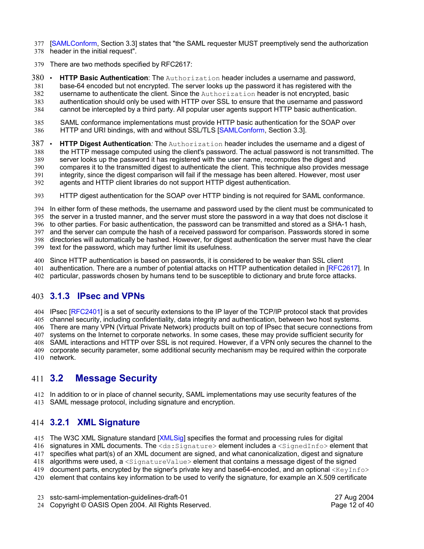- [SAMLConform, Section 3.3] states that "the SAML requester MUST preemptively send the authorization 378 header in the initial request". 377
- 379 There are two methods specified by RFC2617:
- **HTTP Basic Authentication**: The Authorization header includes a username and password, base-64 encoded but not encrypted. The server looks up the password it has registered with the  $380$   $\cdot$ 381
- username to authenticate the client. Since the Authorization header is not encrypted, basic 382
- authentication should only be used with HTTP over SSL to ensure that the username and password cannot be intercepted by a third party. All popular user agents support HTTP basic authentication. 383 384
- SAML conformance implementations must provide HTTP basic authentication for the SOAP over HTTP and URI bindings, with and without SSL/TLS [SAMLConform, Section 3.3]. 385 386
- **HTTP Digest Authentication***:* The Authorization header includes the username and a digest of the HTTP message computed using the client's password. The actual password is not transmitted. The server looks up the password it has registered with the user name, recomputes the digest and compares it to the transmitted digest to authenticate the client. This technique also provides message integrity, since the digest comparison will fail if the message has been altered. However, most user agents and HTTP client libraries do not support HTTP digest authentication.  $387$   $\cdot$ 388 389 390 391 392
- HTTP digest authentication for the SOAP over HTTP binding is not required for SAML conformance. 393

In either form of these methods, the username and password used by the client must be communicated to the server in a trusted manner, and the server must store the password in a way that does not disclose it 395 396 to other parties. For basic authentication, the password can be transmitted and stored as a SHA-1 hash, and the server can compute the hash of a received password for comparison. Passwords stored in some directories will automatically be hashed. However, for digest authentication the server must have the clear 398 399 text for the password, which may further limit its usefulness. 394 397

- 400 Since HTTP authentication is based on passwords, it is considered to be weaker than SSL client
- authentication. There are a number of potential attacks on HTTP authentication detailed in [RFC2617]. In 401 402 particular, passwords chosen by humans tend to be susceptible to dictionary and brute force attacks.

### **3.1.3 IPsec and VPNs** 403

404 IPsec [RFC2401] is a set of security extensions to the IP layer of the TCP/IP protocol stack that provides channel security, including confidentiality, data integrity and authentication, between two host systems. 405 406 There are many VPN (Virtual Private Network) products built on top of IPsec that secure connections from 407 systems on the Internet to corporate networks. In some cases, these may provide sufficient security for 408 SAML interactions and HTTP over SSL is not required. However, if a VPN only secures the channel to the 409 corporate security parameter, some additional security mechanism may be required within the corporate

410 network.

#### **3.2 Message Security** 411 3.2

412 In addition to or in place of channel security, SAML implementations may use security features of the SAML message protocol, including signature and encryption. 413

# **3.2.1 XML Signature** 414

415 The W3C XML Signature standard [XMLSig] specifies the format and processing rules for digital

416 signatures in XML documents. The <ds: Signature> element includes a <SignedInfo> element that

417 specifies what part(s) of an XML document are signed, and what canonicalization, digest and signature

418 algorithms were used, a <SignatureValue> element that contains a message digest of the signed

419  $\,$  document parts, encrypted by the signer's private key and base64-encoded, and an optional  $\rm <$ K $\rm _{eYInfo}$ 

420 element that contains key information to be used to verify the signature, for example an X.509 certificate

sstc-saml-implementation-guidelines-draft-01 27 Aug 2004 23

24 Copyright © OASIS Open 2004. All Rights Reserved. The example of the Page 12 of 40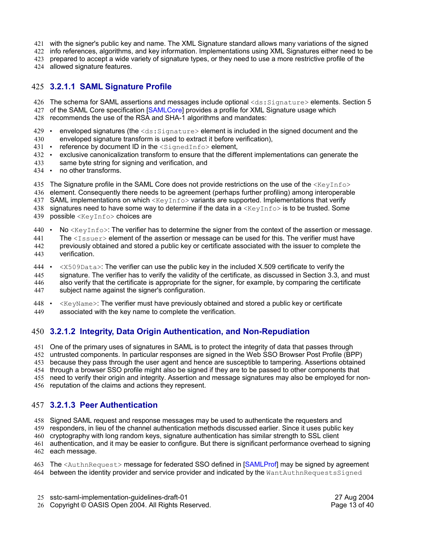- 421 with the signer's public key and name. The XML Signature standard allows many variations of the signed
- 422 info references, algorithms, and key information. Implementations using XML Signatures either need to be
- 423 prepared to accept a wide variety of signature types, or they need to use a more restrictive profile of the
- 424 allowed signature features.

### **3.2.1.1 SAML Signature Profile** 425

- 426 The schema for SAML assertions and messages include optional <ds:Signature>elements. Section 5
- 427 of the SAML Core specification [SAMLCore] provides a profile for XML Signature usage which
- recommends the use of the RSA and SHA-1 algorithms and mandates: 428
- enveloped signatures (the  $\langle ds:Signature \rangle$  element is included in the signed document and the 429
- enveloped signature transform is used to extract it before verification), 430
- 431 reference by document ID in the <SignedInfo> element,
- exclusive canonicalization transform to ensure that the different implementations can generate the 432 •
- same byte string for signing and verification, and 433
- no other transforms. 434
- 435 The Signature profile in the SAML Core does not provide restrictions on the use of the  $\lt$ KeyInfo>
- element. Consequently there needs to be agreement (perhaps further profiling) among interoperable 436
- SAML implementations on which  $\langle \text{KeyInfo} \rangle$  variants are supported. Implementations that verify 437
- 438  $\,$  signatures need to have some way to determine if the data in a  $\ltimes$ KeyInfo $>$  is to be trusted. Some
- 439 possible <KeyInfo> choices are
- No  $\leq$ KeyInfo>: The verifier has to determine the signer from the context of the assertion or message.  $440 \cdot$
- The  $\langle$ Issuer> element of the assertion or message can be used for this. The verifier must have 441
- previously obtained and stored a public key or certificate associated with the issuer to complete the verification. 442 443
- 444 <x509Data>: The verifier can use the public key in the included X.509 certificate to verify the signature. The verifier has to verify the validity of the certificate, as discussed in Section 3.3, and must also verify that the certificate is appropriate for the signer, for example, by comparing the certificate subject name against the signer's configuration. 445 446 447
- $\langle K \rangle$   $\langle$  KeyName $>$ : The verifier must have previously obtained and stored a public key or certificate 448
- associated with the key name to complete the verification. 449

### **3.2.1.2 Integrity, Data Origin Authentication, and Non-Repudiation** 450

451 One of the primary uses of signatures in SAML is to protect the integrity of data that passes through untrusted components. In particular responses are signed in the Web SSO Browser Post Profile (BPP) 452

because they pass through the user agent and hence are susceptible to tampering. Assertions obtained 453

through a browser SSO profile might also be signed if they are to be passed to other components that 454

455 need to verify their origin and integrity. Assertion and message signatures may also be employed for non-

456 reputation of the claims and actions they represent.

### **3.2.1.3 Peer Authentication** 457

458 Signed SAML request and response messages may be used to authenticate the requesters and

responders, in lieu of the channel authentication methods discussed earlier. Since it uses public key 459

460 cryptography with long random keys, signature authentication has similar strength to SSL client

authentication, and it may be easier to configure. But there is significant performance overhead to signing 462 each message. 461

- 463 The <AuthnRequest> message for federated SSO defined in [SAMLProf] may be signed by agreement
- 464 between the identity provider and service provider and indicated by the WantAuthnRequestsSigned
- sstc-saml-implementation-guidelines-draft-01 27 Aug 2004 25
- 26 Copyright © OASIS Open 2004. All Rights Reserved. The example of the Page 13 of 40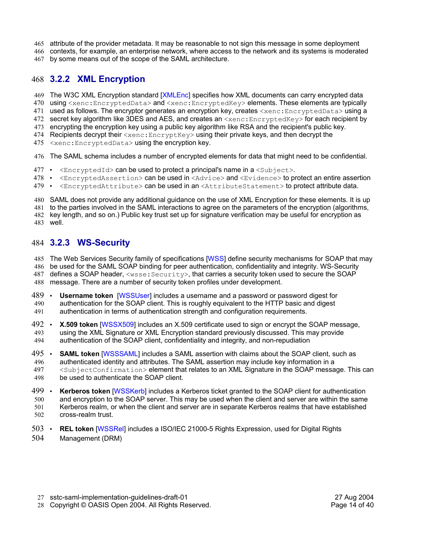- attribute of the provider metadata. It may be reasonable to not sign this message in some deployment 465
- 466 contexts, for example, an enterprise network, where access to the network and its systems is moderated 467 by some means out of the scope of the SAML architecture.

### **3.2.2 XML Encryption** 468

- 469 The W3C XML Encryption standard [XMLEnc] specifies how XML documents can carry encrypted data
- 470  $\,$  using <code><xenc:EncryptedData></code> and <code><xenc:EncryptedKey></code> elements. These elements are typically
- 471 used as follows. The encryptor generates an encryption key, creates <xenc:EncryptedData>using a
- 472  $\,$  secret key algorithm like 3DES and AES, and creates an  $<$ xen $\rm c$ : $\scriptstyle\rm Encr$ y $\rm p$ tedKe $\rm y$ > for each recipient by
- encrypting the encryption key using a public key algorithm like RSA and the recipient's public key. 473 474 Recipients decrypt their  $\ltimes$ xenc:EncryptKey> using their private keys, and then decrypt the
- 475 <xenc: EncryptedData> using the encryption key.
- 476 The SAML schema includes a number of encrypted elements for data that might need to be confidential.
- 477 <EncryptedId> can be used to protect a principal's name in a <Subject>.
- 478 <EncryptedAssertion> can be used in <Advice> and <Evidence> to protect an entire assertion
- 479 <EncryptedAttribute> can be used in an<AttributeStatement> to protect attribute data.
- 480 SAML does not provide any additional guidance on the use of XML Encryption for these elements. It is up
- 481 to the parties involved in the SAML interactions to agree on the parameters of the encryption (algorithms,
- 482 key length, and so on.) Public key trust set up for signature verification may be useful for encryption as
- well. 483

### **3.2.3 WS-Security** 484

485 The Web Services Security family of specifications [WSS] define security mechanisms for SOAP that may

- 486 be used for the SAML SOAP binding for peer authentication, confidentiality and integrity. WS-Security
- 487  $\,$  defines a SOAP header,  $<$ wsse: $\,$ Security $>$ , that carries a security token used to secure the SOAP
- message. There are a number of security token profiles under development. 488
- **Username token** [WSSUser] includes a username and a password or password digest for authentication for the SOAP client. This is roughly equivalent to the HTTP basic and digest authentication in terms of authentication strength and configuration requirements. 489 490 491
- **X.509 token** [WSSX509] includes an X.509 certificate used to sign or encrypt the SOAP message, using the XML Signature or XML Encryption standard previously discussed. This may provide authentication of the SOAP client, confidentiality and integrity, and non-repudiation  $492$   $\cdot$ 493 494
- **SAML token** [WSSSAML] includes a SAML assertion with claims about the SOAP client, such as authenticated identity and attributes. The SAML assertion may include key information in a <SubjectConfirmation> element that relates to an XML Signature in the SOAP message. This can be used to authenticate the SOAP client. 495 496 497 498
- **Kerberos token** [WSSKerb] includes a Kerberos ticket granted to the SOAP client for authentication and encryption to the SOAP server. This may be used when the client and server are within the same Kerberos realm, or when the client and server are in separate Kerberos realms that have established cross-realm trust. 499 500 501 502
- **REL token** [WSSRel] includes a ISO/IEC 21000-5 Rights Expression, used for Digital Rights Management (DRM)  $503$   $\cdot$ 504

sstc-saml-implementation-guidelines-draft-01 27 Aug 2004 27

28 Copyright © OASIS Open 2004. All Rights Reserved. The example of the Page 14 of 40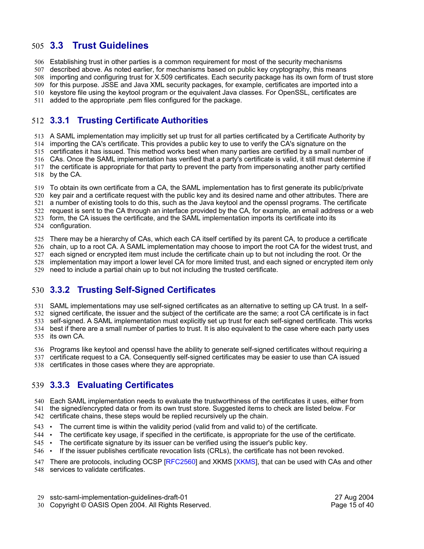### **3.3 Trust Guidelines** 505

Establishing trust in other parties is a common requirement for most of the security mechanisms 506

described above. As noted earlier, for mechanisms based on public key cryptography, this means 507

importing and configuring trust for X.509 certificates. Each security package has its own form of trust store 508

for this purpose. JSSE and Java XML security packages, for example, certificates are imported into a 509

keystore file using the keytool program or the equivalent Java classes. For OpenSSL, certificates are 510

added to the appropriate .pem files configured for the package. 511

# **3.3.1 Trusting Certificate Authorities** 512

A SAML implementation may implicitly set up trust for all parties certificated by a Certificate Authority by 513

514 importing the CA's certificate. This provides a public key to use to verify the CA's signature on the

515 certificates it has issued. This method works best when many parties are certified by a small number of

516 CAs. Once the SAML implementation has verified that a party's certificate is valid, it still must determine if

517 the certificate is appropriate for that party to prevent the party from impersonating another party certified

518 by the CA.

519 To obtain its own certificate from a CA, the SAML implementation has to first generate its public/private

520 key pair and a certificate request with the public key and its desired name and other attributes. There are

521 a number of existing tools to do this, such as the Java keytool and the openssl programs. The certificate

522 request is sent to the CA through an interface provided by the CA, for example, an email address or a web

form, the CA issues the certificate, and the SAML implementation imports its certificate into its 523

524 configuration.

525 There may be a hierarchy of CAs, which each CA itself certified by its parent CA, to produce a certificate

526 chain, up to a root CA. A SAML implementation may choose to import the root CA for the widest trust, and

each signed or encrypted item must include the certificate chain up to but not including the root. Or the 527

implementation may import a lower level CA for more limited trust, and each signed or encrypted item only 528

need to include a partial chain up to but not including the trusted certificate. 529

# **3.3.2 Trusting Self-Signed Certificates** 530

531 SAML implementations may use self-signed certificates as an alternative to setting up CA trust. In a self-

signed certificate, the issuer and the subject of the certificate are the same; a root CA certificate is in fact 532

533 self-signed. A SAML implementation must explicitly set up trust for each self-signed certificate. This works best if there are a small number of parties to trust. It is also equivalent to the case where each party uses 534

535 its own CA.

536 Programs like keytool and openssl have the ability to generate self-signed certificates without requiring a

certificate request to a CA. Consequently self-signed certificates may be easier to use than CA issued 537

538 certificates in those cases where they are appropriate.

### **3.3.3 Evaluating Certificates** 539

Each SAML implementation needs to evaluate the trustworthiness of the certificates it uses, either from 540 541 the signed/encrypted data or from its own trust store. Suggested items to check are listed below. For

- 542 certificate chains, these steps would be replied recursively up the chain.
- The current time is within the validity period (valid from and valid to) of the certificate. 543  $\cdot$
- The certificate key usage, if specified in the certificate, is appropriate for the use of the certificate. 544
- The certificate signature by its issuer can be verified using the issuer's public key. 545  $\cdot$
- If the issuer publishes certificate revocation lists (CRLs), the certificate has not been revoked.  $546$   $\cdot$

547 There are protocols, including OCSP [RFC2560] and XKMS [XKMS], that can be used with CAs and other

548 services to validate certificates.

sstc-saml-implementation-guidelines-draft-01 27 Aug 2004 29

30 Copyright © OASIS Open 2004. All Rights Reserved. The example of the Page 15 of 40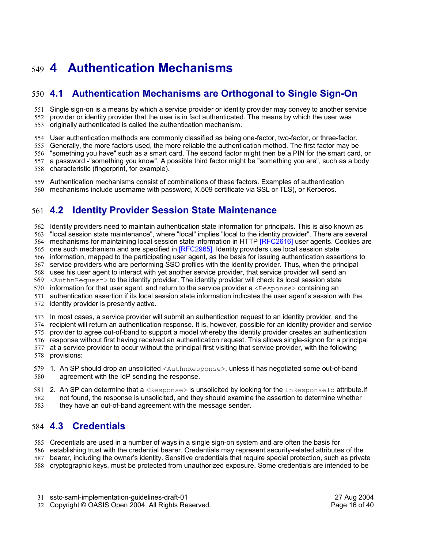# **4 Authentication Mechanisms** 549

# **4.1 Authentication Mechanisms are Orthogonal to Single Sign-On** 550

Single sign-on is a means by which a service provider or identity provider may convey to another service provider or identity provider that the user is in fact authenticated. The means by which the user was 551 552

originally authenticated is called the authentication mechanism. 553

User authentication methods are commonly classified as being one-factor, two-factor, or three-factor. 554

Generally, the more factors used, the more reliable the authentication method. The first factor may be 555

"something you have" such as a smart card. The second factor might then be a PIN for the smart card, or 556

a password -"something you know". A possible third factor might be "something you are", such as a body 557

558 characteristic (fingerprint, for example).

Authentication mechanisms consist of combinations of these factors. Examples of authentication 559

mechanisms include username with password, X.509 certificate via SSL or TLS), or Kerberos. 560

# **4.2 Identity Provider Session State Maintenance** 561

Identity providers need to maintain authentication state information for principals. This is also known as "local session state maintenance", where "local" implies "local to the identity provider". There are several 564 mechanisms for maintaining local session state information in HTTP [RFC2616] user agents. Cookies are 565 one such mechanism and are specified in [RFC2965]. Identity providers use local session state 566 information, mapped to the participating user agent, as the basis for issuing authentication assertions to service providers who are performing SSO profiles with the identity provider. Thus, when the principal uses his user agent to interact with yet another service provider, that service provider will send an 568 569 <AuthnRequest> to the identity provider. The identity provider will check its local session state 570 information for that user agent, and return to the service provider a  $\langle$ Response> containing an authentication assertion if its local session state information indicates the user agent's session with the identity provider is presently active. In most cases, a service provider will submit an authentication request to an identity provider, and the 574 recipient will return an authentication response. It is, however, possible for an identity provider and service 562 563 567 571 572 573

provider to agree out-of-band to support a model whereby the identity provider creates an authentication 575

576 response without first having received an authentication request. This allows single-signon for a principal at a service provider to occur without the principal first visiting that service provider, with the following 578 provisions: 577

579 1. An SP should drop an unsolicited <AuthnResponse>, unless it has negotiated some out-of-band agreement with the IdP sending the response. 580

2. An SP can determine that a <Response> is unsolicited by looking for the InResponseTo attribute.If not found, the response is unsolicited, and they should examine the assertion to determine whether 581 582

they have an out-of-band agreement with the message sender. 583

# **4.3 Credentials** 584

Credentials are used in a number of ways in a single sign-on system and are often the basis for 585

establishing trust with the credential bearer. Credentials may represent security-related attributes of the 586

bearer, including the owner's identity. Sensitive credentials that require special protection, such as private 587

cryptographic keys, must be protected from unauthorized exposure. Some credentials are intended to be 588

32 Copyright © OASIS Open 2004. All Rights Reserved. The example of the Page 16 of 40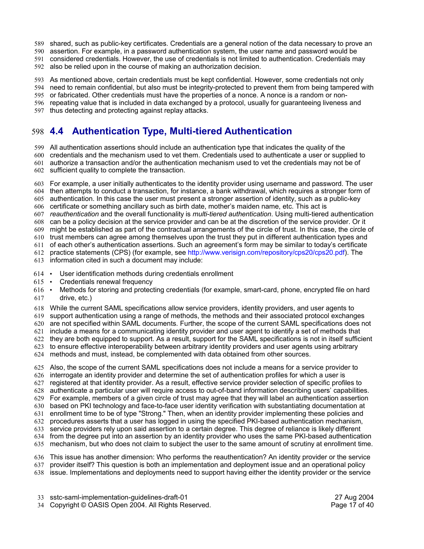- shared, such as public-key certificates. Credentials are a general notion of the data necessary to prove an 589
- 590 assertion. For example, in a password authentication system, the user name and password would be
- considered credentials. However, the use of credentials is not limited to authentication. Credentials may 591
- also be relied upon in the course of making an authorization decision. 592

As mentioned above, certain credentials must be kept confidential. However, some credentials not only 593

need to remain confidential, but also must be integrity-protected to prevent them from being tampered with 594

or fabricated. Other credentials must have the properties of a nonce. A nonce is a random or non-595

596 repeating value that is included in data exchanged by a protocol, usually for guaranteeing liveness and thus detecting and protecting against replay attacks. 597

# **4.4 Authentication Type, Multi-tiered Authentication** 598

All authentication assertions should include an authentication type that indicates the quality of the 599

credentials and the mechanism used to vet them. Credentials used to authenticate a user or supplied to 600 authorize a transaction and/or the authentication mechanism used to vet the credentials may not be of 601

602 sufficient quality to complete the transaction.

For example, a user initially authenticates to the identity provider using username and password. The user then attempts to conduct a transaction, for instance, a bank withdrawal, which requires a stronger form of 604 605 authentication. In this case the user must present a stronger assertion of identity, such as a public-key 606 certificate or something ancillary such as birth date, mother's maiden name, etc. This act is *reauthentication* and the overall functionality is *multi-tiered authentication*. Using multi-tiered authentication 607 can be a policy decision at the service provider and can be at the discretion of the service provider. Or it 608 might be established as part of the contractual arrangements of the circle of trust. In this case, the circle of 609 610 trust members can agree among themselves upon the trust they put in different authentication types and of each other's authentication assertions. Such an agreement's form may be similar to today's certificate practice statements (CPS) (for example, see http://www.verisign.com/repository/cps20/cps20.pdf). The 613 information cited in such a document may include: 603 611 612

- User identification methods during credentials enrollment  $614$   $\cdot$
- Credentials renewal frequency  $615$   $\cdot$
- Methods for storing and protecting credentials (for example, smart-card, phone, encrypted file on hard drive, etc.)  $616$   $\cdot$ 617
- While the current SAML specifications allow service providers, identity providers, and user agents to 618

support authentication using a range of methods, the methods and their associated protocol exchanges 619

620 are not specified within SAML documents. Further, the scope of the current SAML specifications does not

include a means for a communicating identity provider and user agent to identify a set of methods that 621

they are both equipped to support. As a result, support for the SAML specifications is not in itself sufficient 622 to ensure effective interoperability between arbitrary identity providers and user agents using arbitrary

methods and must, instead, be complemented with data obtained from other sources. 624 623

Also, the scope of the current SAML specifications does not include a means for a service provider to 626 interrogate an identity provider and determine the set of authentication profiles for which a user is 627 registered at that identity provider. As a result, effective service provider selection of specific profiles to authenticate a particular user will require access to out-of-band information describing users' capabilities. For example, members of a given circle of trust may agree that they will label an authentication assertion based on PKI technology and face-to-face user identity verification with substantiating documentation at enrollment time to be of type "Strong." Then, when an identity provider implementing these policies and procedures asserts that a user has logged in using the specified PKI-based authentication mechanism, service providers rely upon said assertion to a certain degree. This degree of reliance is likely different 634 from the degree put into an assertion by an identity provider who uses the same PKI-based authentication mechanism, but who does not claim to subject the user to the same amount of scrutiny at enrollment time. 625 628 629 630 631 632 633 635

636 This issue has another dimension: Who performs the reauthentication? An identity provider or the service provider itself? This question is both an implementation and deployment issue and an operational policy 637

issue. Implementations and deployments need to support having either the identity provider or the service 638

Copyright © OASIS Open 2004. All Rights Reserved. Page 17 of 40 34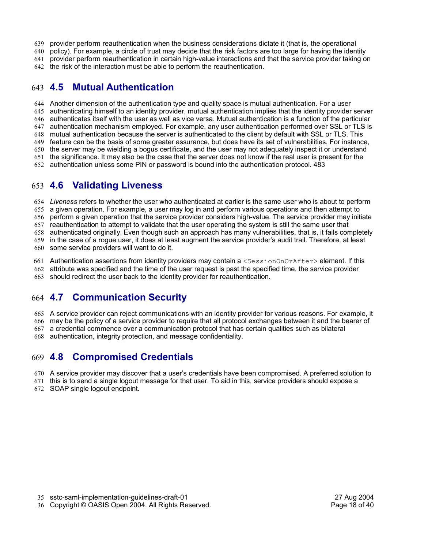- provider perform reauthentication when the business considerations dictate it (that is, the operational 639
- policy). For example, a circle of trust may decide that the risk factors are too large for having the identity 640
- 641 provider perform reauthentication in certain high-value interactions and that the service provider taking on
- 642 the risk of the interaction must be able to perform the reauthentication.

### **4.5 Mutual Authentication** 643

Another dimension of the authentication type and quality space is mutual authentication. For a user 644 645 authenticating himself to an identity provider, mutual authentication implies that the identity provider server 646 authenticates itself with the user as well as vice versa. Mutual authentication is a function of the particular 647 authentication mechanism employed. For example, any user authentication performed over SSL or TLS is 648 mutual authentication because the server is authenticated to the client by default with SSL or TLS. This feature can be the basis of some greater assurance, but does have its set of vulnerabilities. For instance, 649 650 the server may be wielding a bogus certificate, and the user may not adequately inspect it or understand the significance. It may also be the case that the server does not know if the real user is present for the authentication unless some PIN or password is bound into the authentication protocol. 483 652 651

### **4.6 Validating Liveness**  653

*Liveness* refers to whether the user who authenticated at earlier is the same user who is about to perform 654 655 a given operation. For example, a user may log in and perform various operations and then attempt to 656 perform a given operation that the service provider considers high-value. The service provider may initiate 657 reauthentication to attempt to validate that the user operating the system is still the same user that 658 authenticated originally. Even though such an approach has many vulnerabilities, that is, it fails completely 659 in the case of a rogue user, it does at least augment the service provider's audit trail. Therefore, at least

660 some service providers will want to do it.

661 Authentication assertions from identity providers may contain a <SessionOnOrAfter>element. If this

- attribute was specified and the time of the user request is past the specified time, the service provider 662
- should redirect the user back to the identity provider for reauthentication. 663

### **4.7 Communication Security** 664

665 A service provider can reject communications with an identity provider for various reasons. For example, it

666 may be the policy of a service provider to require that all protocol exchanges between it and the bearer of

a credential commence over a communication protocol that has certain qualities such as bilateral 667

authentication, integrity protection, and message confidentiality. 668

### **4.8 Compromised Credentials** 669

670 A service provider may discover that a user's credentials have been compromised. A preferred solution to

671 this is to send a single logout message for that user. To aid in this, service providers should expose a

672 SOAP single logout endpoint.

sstc-saml-implementation-guidelines-draft-01 27 Aug 2004 35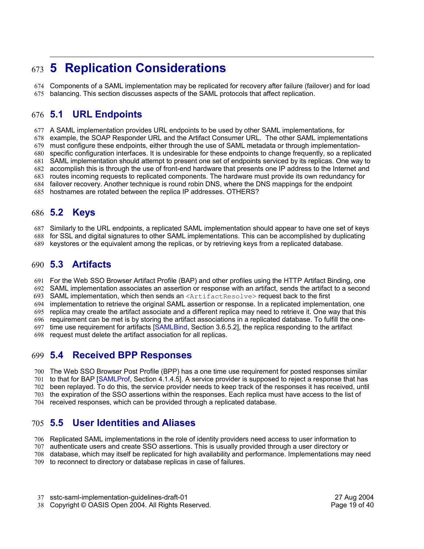# **5 Replication Considerations** 673

Components of a SAML implementation may be replicated for recovery after failure (failover) and for load balancing. This section discusses aspects of the SAML protocols that affect replication. 674 675

#### **5.1 URL Endpoints**  $676$  5.1

A SAML implementation provides URL endpoints to be used by other SAML implementations, for 677

678 example, the SOAP Responder URL and the Artifact Consumer URL. The other SAML implementations

must configure these endpoints, either through the use of SAML metadata or through implementation-679

specific configuration interfaces. It is undesirable for these endpoints to change frequently, so a replicated 680

SAML implementation should attempt to present one set of endpoints serviced by its replicas. One way to 681

accomplish this is through the use of front-end hardware that presents one IP address to the Internet and 682

683 routes incoming requests to replicated components. The hardware must provide its own redundancy for

failover recovery. Another technique is round robin DNS, where the DNS mappings for the endpoint 684

hostnames are rotated between the replica IP addresses. OTHERS? 685

#### **5.2 Keys** 686 **5.2**

Similarly to the URL endpoints, a replicated SAML implementation should appear to have one set of keys 687

for SSL and digital signatures to other SAML implementations. This can be accomplished by duplicating 688

keystores or the equivalent among the replicas, or by retrieving keys from a replicated database. 689

### **5.3 Artifacts** 690

For the Web SSO Browser Artifact Profile (BAP) and other profiles using the HTTP Artifact Binding, one 691

SAML implementation associates an assertion or response with an artifact, sends the artifact to a second 692

SAML implementation, which then sends an <ArtifactResolve> request back to the first 693

implementation to retrieve the original SAML assertion or response. In a replicated implementation, one 694

replica may create the artifact associate and a different replica may need to retrieve it. One way that this 695

696 requirement can be met is by storing the artifact associations in a replicated database. To fulfill the onetime use requirement for artifacts [SAMLBind, Section 3.6.5.2], the replica responding to the artifact 697

request must delete the artifact association for all replicas. 698

#### **5.4 Received BPP Responses**  $699$  5.4

The Web SSO Browser Post Profile (BPP) has a one time use requirement for posted responses similar 700

701 to that for BAP [SAMLProf, Section 4.1.4.5]. A service provider is supposed to reject a response that has

been replayed. To do this, the service provider needs to keep track of the responses it has received, until 702 the expiration of the SSO assertions within the responses. Each replica must have access to the list of 703

received responses, which can be provided through a replicated database. 704

#### **5.5 User Identities and Aliases** 705 **5.5**

Replicated SAML implementations in the role of identity providers need access to user information to 706

authenticate users and create SSO assertions. This is usually provided through a user directory or 707

708 database, which may itself be replicated for high availability and performance. Implementations may need

709 to reconnect to directory or database replicas in case of failures.

sstc-saml-implementation-guidelines-draft-01 27 Aug 2004 37

38 Copyright © OASIS Open 2004. All Rights Reserved. The example of the Page 19 of 40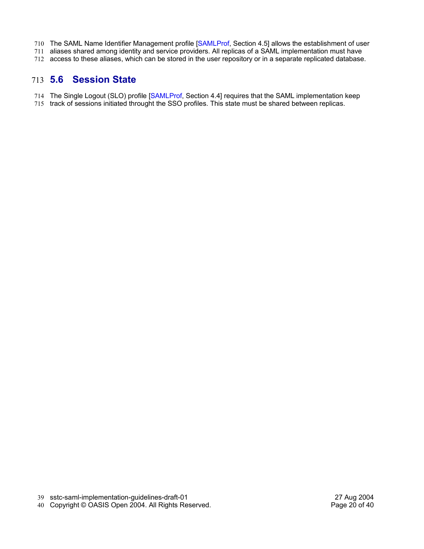- 710 The SAML Name Identifier Management profile [SAMLProf, Section 4.5] allows the establishment of user
- 711 aliases shared among identity and service providers. All replicas of a SAML implementation must have
- 712 access to these aliases, which can be stored in the user repository or in a separate replicated database.

### **5.6 Session State** 713

- The Single Logout (SLO) profile [SAMLProf, Section 4.4] requires that the SAML implementation keep 714
- 715 track of sessions initiated throught the SSO profiles. This state must be shared between replicas.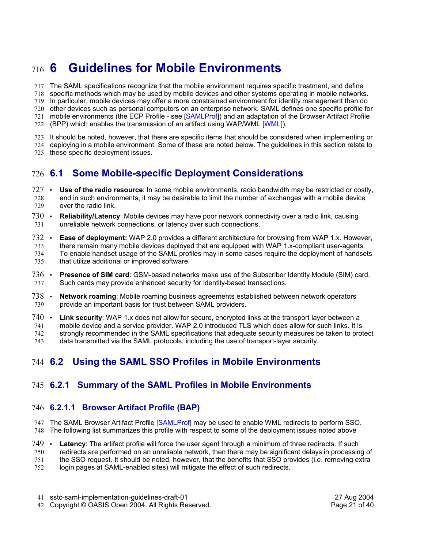### **6 Guidelines for Mobile Environments** 716 6

The SAML specifications recognize that the mobile environment requires specific treatment, and define 717

specific methods which may be used by mobile devices and other systems operating in mobile networks. 718

In particular, mobile devices may offer a more constrained environment for identity management than do 719

720 other devices such as personal computers on an enterprise network. SAML defines one specific profile for

mobile environments (the ECP Profile - see [SAMLProf]) and an adaptation of the Browser Artifact Profile (BPP) which enables the transmission of an artifact using WAP/WML [WML]). 721 722

It should be noted, however, that there are specific items that should be considered when implementing or 723

deploying in a mobile environment. Some of these are noted below. The guidelines in this section relate to 724

these specific deployment issues. 725

### **6.1 Some Mobile-specific Deployment Considerations** 726 **6.1**

- 727 Use of the radio resource: In some mobile environments, radio bandwidth may be restricted or costly, and in such environments, it may be desirable to limit the number of exchanges with a mobile device over the radio link. 728 729
- **Reliability/Latency**: Mobile devices may have poor network connectivity over a radio link, causing unreliable network connections, or latency over such connections.  $730...$ 731
- **Ease of deployment:** WAP 2.0 provides a different architecture for browsing from WAP 1.x. However, there remain many mobile devices deployed that are equipped with WAP 1.x-compliant user-agents. To enable handset usage of the SAML profiles may in some cases require the deployment of handsets that utilize additional or improved software. 732 733 734 735
- **Presence of SIM card**: GSM-based networks make use of the Subscriber Identity Module (SIM) card. Such cards may provide enhanced security for identity-based transactions. 736 737
- **Network roaming**: Mobile roaming business agreements established between network operators provide an important basis for trust between SAML providers. 738 739
- **Link security**: WAP 1.x does not allow for secure, encrypted links at the transport layer between a  $740$   $\cdot$
- mobile device and a service provider. WAP 2.0 introduced TLS which does allow for such links. It is strongly recommended in the SAML specifications that adequate security measures be taken to protect data transmitted via the SAML protocols, including the use of transport-layer security. 741 742 743

### **6.2 Using the SAML SSO Profiles in Mobile Environments** 744 6.2

### **6.2.1 Summary of the SAML Profiles in Mobile Environments** 745

### **6.2.1.1 Browser Artifact Profile (BAP)** 746

747 The SAML Browser Artifact Profile [SAMLProf] may be used to enable WML redirects to perform SSO. The following list summarizes this profile with respect to some of the deployment issues noted above 748

- 
- **Latency:** The artifact profile will force the user agent through a minimum of three redirects. If such redirects are performed on an unreliable network, then there may be significant delays in processing of 749 750
- the SSO request. It should be noted, however, that the benefits that SSO provides (i.e. removing extra 751
- login pages at SAML-enabled sites) will mitigate the effect of such redirects. 752

42 Copyright © OASIS Open 2004. All Rights Reserved. The example of the Page 21 of 40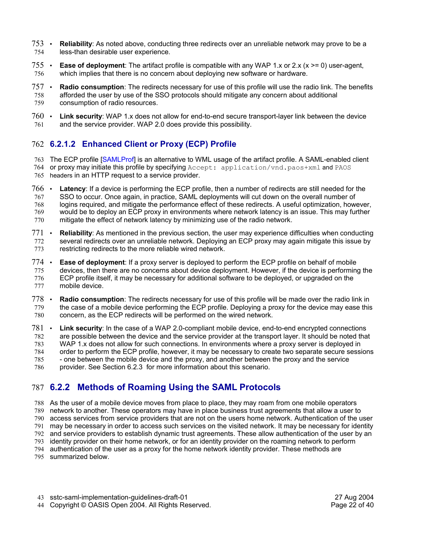- **Reliability:** As noted above, conducting three redirects over an unreliable network may prove to be a less-than desirable user experience. 753 754
- **Ease of deployment**: The artifact profile is compatible with any WAP 1.x or 2.x (x >= 0) user-agent, which implies that there is no concern about deploying new software or hardware. 755 756
- **Radio consumption**: The redirects necessary for use of this profile will use the radio link. The benefits afforded the user by use of the SSO protocols should mitigate any concern about additional consumption of radio resources. 757 758 759
- **Link security**: WAP 1.x does not allow for end-to-end secure transport-layer link between the device and the service provider. WAP 2.0 does provide this possibility.  $760$   $\cdot$ 761

### **6.2.1.2 Enhanced Client or Proxy (ECP) Profile**  762

- 763 The ECP profile [SAMLProf] is an alternative to WML usage of the artifact profile. A SAML-enabled client
- 764 or proxy may initiate this profile by specifying Accept: application/vnd.paos+xml and PAOS 765 headers in an HTTP request to a service provider.
- **Latency**: If a device is performing the ECP profile, then a number of redirects are still needed for the SSO to occur. Once again, in practice, SAML deployments will cut down on the overall number of logins required, and mitigate the performance effect of these redirects. A useful optimization, however, would be to deploy an ECP proxy in environments where network latency is an issue. This may further mitigate the effect of network latency by minimizing use of the radio network. 766. 767 768 769 770
- **Reliability:** As mentioned in the previous section, the user may experience difficulties when conducting several redirects over an unreliable network. Deploying an ECP proxy may again mitigate this issue by restricting redirects to the more reliable wired network. 771 772 773
- **Ease of deployment**: If a proxy server is deployed to perform the ECP profile on behalf of mobile devices, then there are no concerns about device deployment. However, if the device is performing the ECP profile itself, it may be necessary for additional software to be deployed, or upgraded on the mobile device. 774 775 776 777
- **Radio consumption**: The redirects necessary for use of this profile will be made over the radio link in the case of a mobile device performing the ECP profile. Deploying a proxy for the device may ease this concern, as the ECP redirects will be performed on the wired network. 778 779 780
- **Link security:** In the case of a WAP 2.0-compliant mobile device, end-to-end encrypted connections are possible between the device and the service provider at the transport layer. It should be noted that WAP 1.x does not allow for such connections. In environments where a proxy server is deployed in order to perform the ECP profile, however, it may be necessary to create two separate secure sessions - one between the mobile device and the proxy, and another between the proxy and the service provider. See Section 6.2.3 for more information about this scenario. 781 782 783 784 785 786

### **6.2.2 Methods of Roaming Using the SAML Protocols** 787

As the user of a mobile device moves from place to place, they may roam from one mobile operators 788 network to another. These operators may have in place business trust agreements that allow a user to 789 790 access services from service providers that are not on the users home network. Authentication of the user may be necessary in order to access such services on the visited network. It may be necessary for identity 791 and service providers to establish dynamic trust agreements. These allow authentication of the user by an 792 identity provider on their home network, or for an identity provider on the roaming network to perform 793 authentication of the user as a proxy for the home network identity provider. These methods are 794 795 summarized below.

Copyright © OASIS Open 2004. All Rights Reserved. Page 22 of 40 44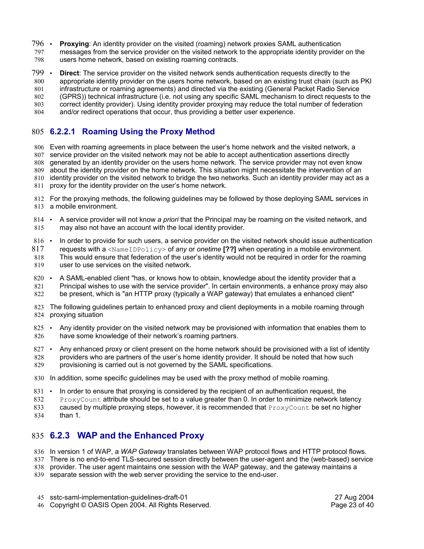- **Proxying**: An identity provider on the visited (roaming) network proxies SAML authentication messages from the service provider on the visited network to the appropriate identity provider on the users home network, based on existing roaming contracts. 796 797 798
- **Direct**: The service provider on the visited network sends authentication requests directly to the appropriate identity provider on the users home network, based on an existing trust chain (such as PKI 799 800

infrastructure or roaming agreements) and directed via the existing (General Packet Radio Service 801

(GPRS)) technical infrastructure (i.e. not using any specific SAML mechanism to direct requests to the correct identity provider). Using identity provider proxying may reduce the total number of federation 802 803

and/or redirect operations that occur, thus providing a better user experience. 804

### **6.2.2.1 Roaming Using the Proxy Method**  805

Even with roaming agreements in place between the user's home network and the visited network, a 806 service provider on the visited network may not be able to accept authentication assertions directly 807 generated by an identity provider on the users home network. The service provider may not even know 808 about the identity provider on the home network. This situation might necessitate the intervention of an 809 810 identity provider on the visited network to bridge the two networks. Such an identity provider may act as a 811 proxy for the identity provider on the user's home network.

- 812 For the proxying methods, the following guidelines may be followed by those deploying SAML services in 813 a mobile environment.
- A service provider will not know *a priori* that the Principal may be roaming on the visited network, and may also not have an account with the local identity provider. 814 815
- In order to provide for such users, a service provider on the visited network should issue authentication requests with a <NameIDPolicy> of *any* or *onetime* **[??]** when operating in a mobile environment. This would ensure that federation of the user's identity would not be required in order for the roaming user to use services on the visited network. 816 817 818 819
- A SAML-enabled client "has, or knows how to obtain, knowledge about the identity provider that a Principal wishes to use with the service provider". In certain environments, a enhance proxy may also be present, which is "an HTTP proxy (typically a WAP gateway) that emulates a enhanced client"  $820 -$ 821 822
- 823 The following guidelines pertain to enhanced proxy and client deployments in a mobile roaming through 824 proxying situation
- Any identity provider on the visited network may be provisioned with information that enables them to have some knowledge of their network's roaming partners.  $825$   $\cdot$ 826
- Any enhanced proxy or client present on the home network should be provisioned with a list of identity providers who are partners of the user's home identity provider. It should be noted that how such provisioning is carried out is not governed by the SAML specifications. 827 • 828 829
- 830 In addition, some specific guidelines may be used with the proxy method of mobile roaming.
- In order to ensure that proxying is considered by the recipient of an authentication request, the 831 •
- ProxyCount attribute should be set to a value greater than 0. In order to minimize network latency caused by multiple proxying steps, however, it is recommended that  $ProxyCount$  be set no higher 832 833
- than 1. 834

### **6.2.3 WAP and the Enhanced Proxy** 835

- 836 In version 1 of WAP, a WAP Gateway translates between WAP protocol flows and HTTP protocol flows.
- There is no end-to-end TLS-secured session directly between the user-agent and the (web-based) service 837
- 838 provider. The user agent maintains one session with the WAP gateway, and the gateway maintains a
- 839 separate session with the web server providing the service to the end-user.

46 Copyright © OASIS Open 2004. All Rights Reserved. The example of the Page 23 of 40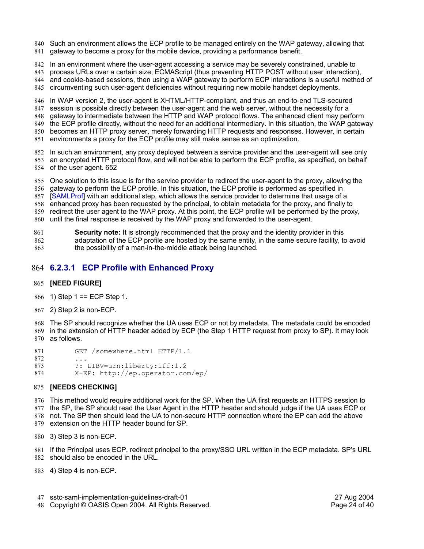- 840 Such an environment allows the ECP profile to be managed entirely on the WAP gateway, allowing that
- 841 gateway to become a proxy for the mobile device, providing a performance benefit.
- 842 In an environment where the user-agent accessing a service may be severely constrained, unable to
- 843 process URLs over a certain size; ECMAScript (thus preventing HTTP POST without user interaction),
- 844 and cookie-based sessions, then using a WAP gateway to perform ECP interactions is a useful method of
- circumventing such user-agent deficiencies without requiring new mobile handset deployments. 845

846 In WAP version 2, the user-agent is XHTML/HTTP-compliant, and thus an end-to-end TLS-secured session is possible directly between the user-agent and the web server, without the necessity for a 847 gateway to intermediate between the HTTP and WAP protocol flows. The enhanced client may perform 848 the ECP profile directly, without the need for an additional intermediary. In this situation, the WAP gateway 849

850 becomes an HTTP proxy server, merely forwarding HTTP requests and responses. However, in certain 851 environments a proxy for the ECP profile may still make sense as an optimization.

852 In such an environment, any proxy deployed between a service provider and the user-agent will see only 853 an encrypted HTTP protocol flow, and will not be able to perform the ECP profile, as specified, on behalf 854 of the user agent. 652

855 One solution to this issue is for the service provider to redirect the user-agent to the proxy, allowing the 856 gateway to perform the ECP profile. In this situation, the ECP profile is performed as specified in 857 [SAMLProf] with an additional step, which allows the service provider to determine that usage of a 858 enhanced proxy has been requested by the principal, to obtain metadata for the proxy, and finally to 859 redirect the user agent to the WAP proxy. At this point, the ECP profile will be performed by the proxy,

until the final response is received by the WAP proxy and forwarded to the user-agent. 860

**Security note:** It is strongly recommended that the proxy and the identity provider in this adaptation of the ECP profile are hosted by the same entity, in the same secure facility, to avoid the possibility of a man-in-the-middle attack being launched. 861 862 863

### **6.2.3.1 ECP Profile with Enhanced Proxy** 864

### **[NEED FIGURE]** 865

- 866 1) Step 1 = ECP Step 1.
- 867 2) Step 2 is non-ECP.

The SP should recognize whether the UA uses ECP or not by metadata. The metadata could be encoded 868 in the extension of HTTP header added by ECP (the Step 1 HTTP request from proxy to SP). It may look 869 870 as follows.

GET /somewhere.html HTTP/1.1 ... ?: LIBV=urn:liberty:iff:1.2 X-EP: http://ep.operator.com/ep/ 871 872 873 874

### **[NEEDS CHECKING]** 875

876 This method would require additional work for the SP. When the UA first requests an HTTPS session to 877 the SP, the SP should read the User Agent in the HTTP header and should judge if the UA uses ECP or

not. The SP then should lead the UA to non-secure HTTP connection where the EP can add the above 878 879 extension on the HTTP header bound for SP.

3) Step 3 is non-ECP. 880

881 If the Principal uses ECP, redirect principal to the proxy/SSO URL written in the ECP metadata. SP's URL 882 should also be encoded in the URL.

883 4) Step 4 is non-ECP.

- sstc-saml-implementation-guidelines-draft-01 27 Aug 2004 47
- Copyright © OASIS Open 2004. All Rights Reserved. Page 24 of 40 48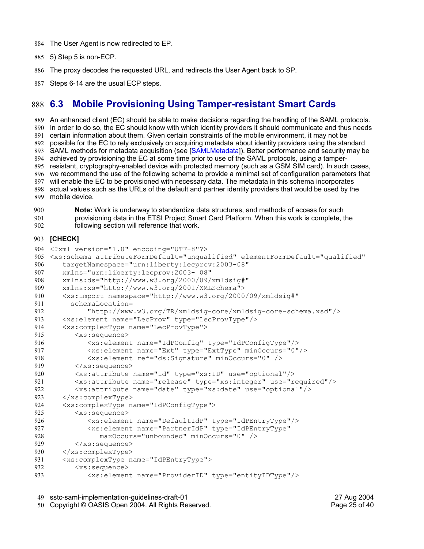- 884 The User Agent is now redirected to EP.
- 885 5) Step 5 is non-ECP.
- 886 The proxy decodes the requested URL, and redirects the User Agent back to SP.
- Steps 6-14 are the usual ECP steps. 887

#### **6.3 Mobile Provisioning Using Tamper-resistant Smart Cards** 888 6.3

889 An enhanced client (EC) should be able to make decisions regarding the handling of the SAML protocols. 890 In order to do so, the EC should know with which identity providers it should communicate and thus needs 891 certain information about them. Given certain constraints of the mobile environment, it may not be 892 possible for the EC to rely exclusively on acquiring metadata about identity providers using the standard 893 SAML methods for metadata acquisition (see [SAMLMetadata]). Better performance and security may be achieved by provisioning the EC at some time prior to use of the SAML protocols, using a tamper-894 895 resistant, cryptography-enabled device with protected memory (such as a GSM SIM card). In such cases, 896 we recommend the use of the following schema to provide a minimal set of configuration parameters that will enable the EC to be provisioned with necessary data. The metadata in this schema incorporates 897 898 actual values such as the URLs of the default and partner identity providers that would be used by the mobile device. 899

**Note:** Work is underway to standardize data structures, and methods of access for such provisioning data in the ETSI Project Smart Card Platform. When this work is complete, the following section will reference that work. 900 901 902

### **[CHECK]** 903

```
<?xml version="1.0" encoding="UTF-8"?>
904
<xs:schema attributeFormDefault="unqualified" elementFormDefault="qualified"
905
        targetNamespace="urn:liberty:lecprov:2003-08"
        xmlns="urn:liberty:lecprov:2003- 08"
        xmlns:ds="http://www.w3.org/2000/09/xmldsig#"
        xmlns:xs="http://www.w3.org/2001/XMLSchema">
        <xs:import namespace="http://www.w3.org/2000/09/xmldsig#" 
          schemaLocation=
              "http://www.w3.org/TR/xmldsig-core/xmldsig-core-schema.xsd"/>
        <xs:element name="LecProv" type="LecProvType"/>
        <xs:complexType name="LecProvType">
           <xs:sequence>
              <xs:element name="IdPConfig" type="IdPConfigType"/>
              <xs:element name="Ext" type="ExtType" minOccurs="0"/>
              <xs:element ref="ds:Signature" minOccurs="0" />
           </xs:sequence>
           <xs:attribute name="id" type="xs:ID" use="optional"/>
           <xs:attribute name="release" type="xs:integer" use="required"/>
           <xs:attribute name="date" type="xs:date" use="optional"/>
        </xs:complexType> 
        <xs:complexType name="IdPConfigType">
           <xs:sequence>
              <xs:element name="DefaultIdP" type="IdPEntryType"/>
              <xs:element name="PartnerIdP" type="IdPEntryType"
                 maxOccurs="unbounded" minOccurs="0" /> 
           </xs:sequence>
        </xs:complexType>
        <xs:complexType name="IdPEntryType">
           <xs:sequence> 
              <xs:element name="ProviderID" type="entityIDType"/>
906
907
908
909
910
911
912
913
914
915
916
917
918
919
920
921
922
923
924
925
926
927
928
929
930
931
932
933
```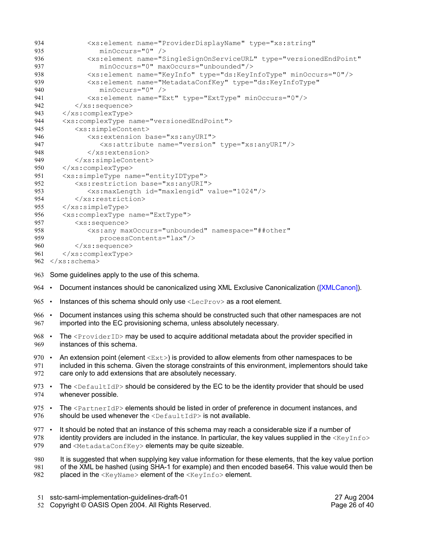| 934 | <xs:element <="" name="ProviderDisplayName" th="" type="xs:string"></xs:element>            |  |  |  |  |
|-----|---------------------------------------------------------------------------------------------|--|--|--|--|
| 935 | $minOccurs = "0"$ />                                                                        |  |  |  |  |
| 936 | <xs:element <="" name="SingleSignOnServiceURL" th="" type="versionedEndPoint"></xs:element> |  |  |  |  |
| 937 | $minOccurs="0" maxOccurs="unbounded"$                                                       |  |  |  |  |
| 938 | <xs:element minoccurs="0" name="KeyInfo" type="ds:KeyInfoType"></xs:element>                |  |  |  |  |
| 939 | <xs:element <="" name="MetadataConfKey" th="" type="ds:KeyInfoType"></xs:element>           |  |  |  |  |
| 940 | $minOccurs = "0"$ />                                                                        |  |  |  |  |
| 941 | <xs:element minoccurs="0" name="Ext" type="ExtType"></xs:element>                           |  |  |  |  |
| 942 | $\langle xs:sequence \rangle$                                                               |  |  |  |  |
| 943 |                                                                                             |  |  |  |  |
| 944 | <xs:complextype name="versionedEndPoint"></xs:complextype>                                  |  |  |  |  |
| 945 | <xs:simplecontent></xs:simplecontent>                                                       |  |  |  |  |
| 946 | <xs:extension base="xs:anyURI"></xs:extension>                                              |  |  |  |  |
| 947 | <xs:attribute name="version" type="xs:anyURI"></xs:attribute>                               |  |  |  |  |
| 948 | $\langle x \rangle$ /xs: extension>                                                         |  |  |  |  |
| 949 |                                                                                             |  |  |  |  |
| 950 |                                                                                             |  |  |  |  |
| 951 | <xs:simpletype name="entityIDType"></xs:simpletype>                                         |  |  |  |  |
| 952 | <xs:restriction base="xs:anyURI"></xs:restriction>                                          |  |  |  |  |
| 953 | <xs:maxlength id="maxlengid" value="1024"></xs:maxlength>                                   |  |  |  |  |
| 954 | $\langle x \rangle$ /xs: restriction>                                                       |  |  |  |  |
| 955 | $\langle x s : \text{simpleType}\rangle$                                                    |  |  |  |  |
| 956 | <xs:complextype name="ExtType"></xs:complextype>                                            |  |  |  |  |
| 957 | $<$ xs: sequence>                                                                           |  |  |  |  |
| 958 | <xs:any <="" maxoccurs="unbounded" namespace="##other" th=""></xs:any>                      |  |  |  |  |
| 959 | processContents="lax"/>                                                                     |  |  |  |  |
| 960 | $\langle xs:sequence \rangle$                                                               |  |  |  |  |
| 961 | $\langle xs:complexType\rangle$                                                             |  |  |  |  |
|     | $962 \le x \le s$ : schema>                                                                 |  |  |  |  |

963 Some guidelines apply to the use of this schema.

- Document instances should be canonicalized using XML Exclusive Canonicalization ([XMLCanon]).  $964$  .
- Instances of this schema should only use  $\leq$ LecProv> as a root element.  $965$  •
- Document instances using this schema should be constructed such that other namespaces are not imported into the EC provisioning schema, unless absolutely necessary.  $966$  • 967
- The <ProviderID> may be used to acquire additional metadata about the provider specified in instances of this schema. 968 969
- An extension point (element  $\langle$ Ext $\rangle$ ) is provided to allow elements from other namespaces to be included in this schema. Given the storage constraints of this environment, implementors should take care only to add extensions that are absolutely necessary.  $970 \div$ 971 972
- The  $\leq$ DefaultIdP> should be considered by the EC to be the identity provider that should be used whenever possible.  $973$  . 974
- The <PartnerIdP> elements should be listed in order of preference in document instances, and should be used whenever the <DefaultIdP> is not available.  $975$   $\cdot$ 976
- It should be noted that an instance of this schema may reach a considerable size if a number of identity providers are included in the instance. In particular, the key values supplied in the  $\langle\text{KeyInfo}\rangle$ and <MetadataConfKey> elements may be quite sizeable.  $977$   $\cdot$ 978 979
- It is suggested that when supplying key value information for these elements, that the key value portion of the XML be hashed (using SHA-1 for example) and then encoded base64. This value would then be placed in the <KeyName> element of the <KeyInfo> element. 980 981 982

52 Copyright © OASIS Open 2004. All Rights Reserved. The example of the Page 26 of 40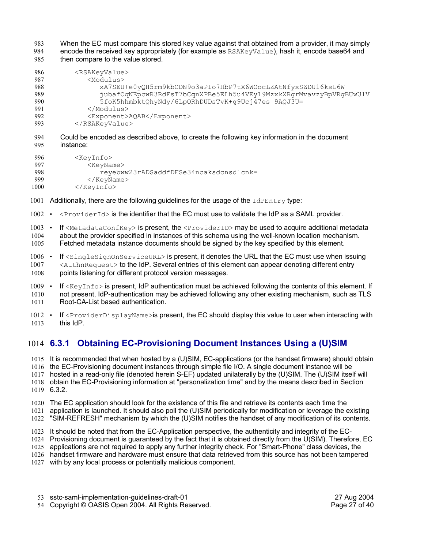When the EC must compare this stored key value against that obtained from a provider, it may simply encode the received key appropriately (for example as RSAKeyValue), hash it, encode base64 and then compare to the value stored. 983 984 985

| 986 | <rsakeyvalue></rsakeyvalue>                                       |
|-----|-------------------------------------------------------------------|
| 987 | <modulus></modulus>                                               |
| 988 | xA7SEU+e0yQH5rm9kbCDN9o3aPIo7HbP7tX6WOocLZAtNfyxSZDU16ksL6W       |
| 989 | jubaf0qNEpcwR3RdFsT7bCqnXPBe5ELh5u4VEy19MzxkXRqrMvavzyBpVRqBUwUlV |
| 990 | 5foK5hhmbktQhyNdy/6LpQRhDUDsTvK+q9Ucj47es 9AQJ3U=                 |
| 991 |                                                                   |
| 992 | <exponent>AQAB</exponent>                                         |
| 993 |                                                                   |

Could be encoded as described above, to create the following key information in the document instance: 994 995

| 996  | <kevinfo></kevinfo>                    |
|------|----------------------------------------|
| 997  | <keyname></keyname>                    |
| 998  | reyebww23rADSaddfDFSe34ncaksdcnsdlcnk= |
| 999  | $\langle$ /KeyName>                    |
| 1000 | $\langle$ /KeyInfo $\rangle$           |

- 1001 Additionally, there are the following guidelines for the usage of the IdPEntry type:
- $1002 \cdot$  <ProviderId> is the identifier that the EC must use to validate the IdP as a SAML provider.
- 1003 If <MetadataConfKey> is present, the <ProviderID> may be used to acquire additional metadata about the provider specified in instances of this schema using the well-known location mechanism. Fetched metadata instance documents should be signed by the key specified by this element. 1004 1005
- If <SingleSignOnServiceURL> is present, it denotes the URL that the EC must use when issuing <AuthnRequest> to the IdP. Several entries of this element can appear denoting different entry points listening for different protocol version messages.  $1006$   $\cdot$ 1007 1008
- If  $\langle$ KeyInfo> is present, IdP authentication must be achieved following the contents of this element. If not present, IdP-authentication may be achieved following any other existing mechanism, such as TLS Root-CA-List based authentication.  $1009$   $\cdot$ 1010 1011
- 1012 If <ProviderDisplayName>is present, the EC should display this value to user when interacting with this IdP. 1013

### **6.3.1 Obtaining EC-Provisioning Document Instances Using a (U)SIM** 1014

1015 It is recommended that when hosted by a (U)SIM, EC-applications (or the handset firmware) should obtain 1016 the EC-Provisioning document instances through simple file I/O. A single document instance will be 1017 hosted in a read-only file (denoted herein S-EF) updated unilaterally by the (U)SIM. The (U)SIM itself will 1018 obtain the EC-Provisioning information at "personalization time" and by the means described in Section 6.3.2. 1019

1020 The EC application should look for the existence of this file and retrieve its contents each time the

1021 application is launched. It should also poll the (U)SIM periodically for modification or leverage the existing

1022 "SIM-REFRESH" mechanism by which the (U)SIM notifies the handset of any modification of its contents.

1023 It should be noted that from the EC-Application perspective, the authenticity and integrity of the EC-

- 1024 Provisioning document is guaranteed by the fact that it is obtained directly from the U(SIM). Therefore, EC
- 1025 applications are not required to apply any further integrity check. For "Smart-Phone" class devices, the

1026 handset firmware and hardware must ensure that data retrieved from this source has not been tampered 1027 with by any local process or potentially malicious component.

sstc-saml-implementation-guidelines-draft-01 27 Aug 2004 53

54 Copyright © OASIS Open 2004. All Rights Reserved. The example of the Page 27 of 40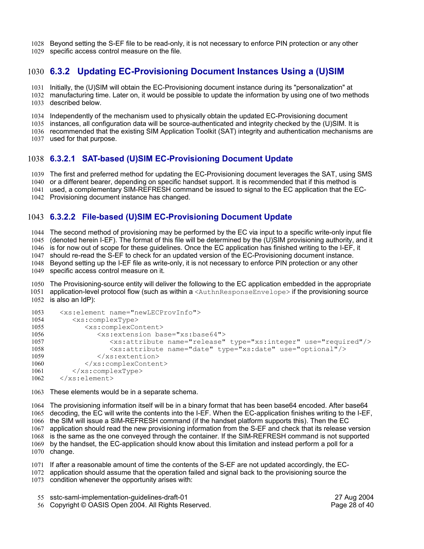Beyond setting the S-EF file to be read-only, it is not necessary to enforce PIN protection or any other 1028

specific access control measure on the file. 1029

### **6.3.2 Updating EC-Provisioning Document Instances Using a (U)SIM**  1030

1031 Initially, the (U)SIM will obtain the EC-Provisioning document instance during its "personalization" at

- manufacturing time. Later on, it would be possible to update the information by using one of two methods 1032 1033 described below.
- 1034 Independently of the mechanism used to physically obtain the updated EC-Provisioning document
- 1035 instances, all configuration data will be source-authenticated and integrity checked by the (U)SIM. It is
- 1036 recommended that the existing SIM Application Toolkit (SAT) integrity and authentication mechanisms are
- 1037 used for that purpose.

### **6.3.2.1 SAT-based (U)SIM EC-Provisioning Document Update** 1038

1039 The first and preferred method for updating the EC-Provisioning document leverages the SAT, using SMS

1040 or a different bearer, depending on specific handset support. It is recommended that if this method is

1041 used, a complementary SIM-REFRESH command be issued to signal to the EC application that the EC-

1042 Provisioning document instance has changed.

### **6.3.2.2 File-based (U)SIM EC-Provisioning Document Update**  1043

1044 The second method of provisioning may be performed by the EC via input to a specific write-only input file 1045 (denoted herein I-EF). The format of this file will be determined by the (U)SIM provisioning authority, and it 1046 is for now out of scope for these guidelines. Once the EC application has finished writing to the I-EF, it 1047 should re-read the S-EF to check for an updated version of the EC-Provisioning document instance. Beyond setting up the I-EF file as write-only, it is not necessary to enforce PIN protection or any other specific access control measure on it. 1048 1049

1050 The Provisioning-source entity will deliver the following to the EC application embedded in the appropriate 1051 application-level protocol flow (such as within a <AuthnResponseEnvelope> if the provisioning source

```
<xs:element name="newLECProvInfo">
           <xs:complexType>
              <xs:complexContent>
                  <xs:extension base="xs:base64">
                     <xs:attribute name="release" type="xs:integer" use="required"/>
                     <xs:attribute name="date" type="xs:date" use="optional"/>
                  </xs:extention>
              </xs:complexContent>
           </xs:complexType>
       </xs:element>
1053
1054
1055
1056
1057
1058
1059
1060
1061
1062
```
1063 These elements would be in a separate schema.

The provisioning information itself will be in a binary format that has been base64 encoded. After base64 1064 decoding, the EC will write the contents into the I-EF. When the EC-application finishes writing to the I-EF, the SIM will issue a SIM-REFRESH command (if the handset platform supports this). Then the EC application should read the new provisioning information from the S-EF and check that its release version is the same as the one conveyed through the container. If the SIM-REFRESH command is not supported by the handset, the EC-application should know about this limitation and instead perform a poll for a 1070 change. 1065 1066 1067 1068 1069

1071 If after a reasonable amount of time the contents of the S-EF are not updated accordingly, the EC-

- 1072 application should assume that the operation failed and signal back to the provisioning source the
- 1073 condition whenever the opportunity arises with:
	- sstc-saml-implementation-guidelines-draft-01 27 Aug 2004 55
	- 56 Copyright © OASIS Open 2004. All Rights Reserved. The example of the Page 28 of 40

<sup>1052</sup> is also an IdP):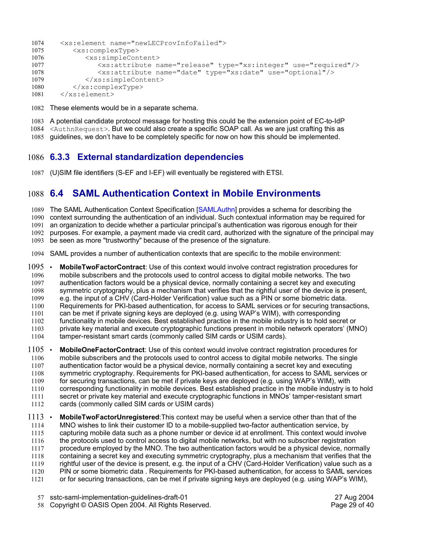```
<xs:element name="newLECProvInfoFailed">
          <xs:complexType>
               <xs:simpleContent> 
                  <xs:attribute name="release" type="xs:integer" use="required"/>
                  <xs:attribute name="date" type="xs:date" use="optional"/> 
               </xs:simpleContent>
           </xs:complexType>
       </xs:element>
1074
1075
1076
1077
1078
1079
1080
1081
```
1082 These elements would be in a separate schema.

A potential candidate protocol message for hosting this could be the extension point of EC-to-IdP 1083 1084 <AuthnRequest>. But we could also create a specific SOAP call. As we are just crafting this as

1085 guidelines, we don't have to be completely specific for now on how this should be implemented.

### **6.3.3 External standardization dependencies** 1086

(U)SIM file identifiers (S-EF and I-EF) will eventually be registered with ETSI. 1087

# **6.4 SAML Authentication Context in Mobile Environments** 1088

1089 The SAML Authentication Context Specification [SAMLAuthn] provides a schema for describing the 1090 context surrounding the authentication of an individual. Such contextual information may be required for 1091 an organization to decide whether a particular principal's authentication was rigorous enough for their 1092 purposes. For example, a payment made via credit card, authorized with the signature of the principal may

1093 be seen as more "trustworthy" because of the presence of the signature.

SAML provides a number of authentication contexts that are specific to the mobile environment: 1094

• **MobileTwoFactorContract**: Use of this context would involve contract registration procedures for mobile subscribers and the protocols used to control access to digital mobile networks. The two authentication factors would be a physical device, normally containing a secret key and executing symmetric cryptography, plus a mechanism that verifies that the rightful user of the device is present, e.g. the input of a CHV (Card-Holder Verification) value such as a PIN or some biometric data. Requirements for PKI-based authentication, for access to SAML services or for securing transactions, can be met if private signing keys are deployed (e.g. using WAP's WIM), with corresponding functionality in mobile devices. Best established practice in the mobile industry is to hold secret or private key material and execute cryptographic functions present in mobile network operators' (MNO) tamper-resistant smart cards (commonly called SIM cards or USIM cards).  $1095$   $\cdot$ 1096 1097 1098 1099 1100 1101 1102 1103 1104

• **MobileOneFactorContract**: Use of this context would involve contract registration procedures for mobile subscribers and the protocols used to control access to digital mobile networks. The single authentication factor would be a physical device, normally containing a secret key and executing symmetric cryptography. Requirements for PKI-based authentication, for access to SAML services or for securing transactions, can be met if private keys are deployed (e.g. using WAP's WIM), with corresponding functionality in mobile devices. Best established practice in the mobile industry is to hold secret or private key material and execute cryptographic functions in MNOs' tamper-resistant smart cards (commonly called SIM cards or USIM cards)  $1105$   $\cdot$ 1106 1107 1108 1109 1110 1111 1112

• **MobileTwoFactorUnregistered**:This context may be useful when a service other than that of the MNO wishes to link their customer ID to a mobile-supplied two-factor authentication service, by capturing mobile data such as a phone number or device id at enrollment. This context would involve the protocols used to control access to digital mobile networks, but with no subscriber registration procedure employed by the MNO. The two authentication factors would be a physical device, normally containing a secret key and executing symmetric cryptography, plus a mechanism that verifies that the rightful user of the device is present, e.g. the input of a CHV (Card-Holder Verification) value such as a PIN or some biometric data . Requirements for PKI-based authentication, for access to SAML services or for securing transactions, can be met if private signing keys are deployed (e.g. using WAP's WIM),  $1113$   $\cdot$ 1114 1115 1116 1117 1118 1119 1120 1121

- sstc-saml-implementation-guidelines-draft-01 27 Aug 2004 57
- 58 Copyright © OASIS Open 2004. All Rights Reserved. The example of the Page 29 of 40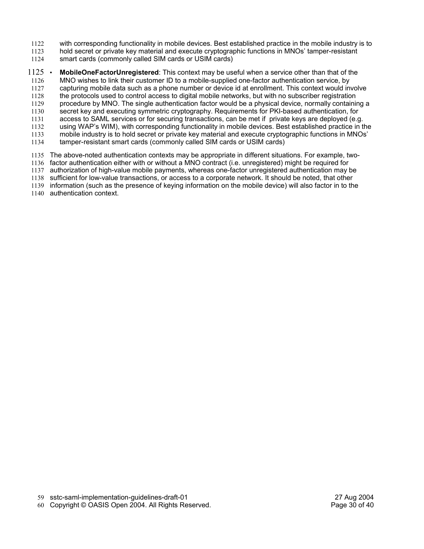- with corresponding functionality in mobile devices. Best established practice in the mobile industry is to 1122
- hold secret or private key material and execute cryptographic functions in MNOs' tamper-resistant 1123
- smart cards (commonly called SIM cards or USIM cards) 1124
- **MobileOneFactorUnregistered**: This context may be useful when a service other than that of the MNO wishes to link their customer ID to a mobile-supplied one-factor authentication service, by capturing mobile data such as a phone number or device id at enrollment. This context would involve the protocols used to control access to digital mobile networks, but with no subscriber registration procedure by MNO. The single authentication factor would be a physical device, normally containing a secret key and executing symmetric cryptography. Requirements for PKI-based authentication, for access to SAML services or for securing transactions, can be met if private keys are deployed (e.g. using WAP's WIM), with corresponding functionality in mobile devices. Best established practice in the mobile industry is to hold secret or private key material and execute cryptographic functions in MNOs' tamper-resistant smart cards (commonly called SIM cards or USIM cards) The above-noted authentication contexts may be appropriate in different situations. For example, two-1135  $1125$   $\cdot$ 1126 1127 1128 1129 1130 1131 1132 1133 1134
- 1136 factor authentication either with or without a MNO contract (i.e. unregistered) might be required for
- 1137 authorization of high-value mobile payments, whereas one-factor unregistered authentication may be
- 1138 sufficient for low-value transactions, or access to a corporate network. It should be noted, that other 1139 information (such as the presence of keying information on the mobile device) will also factor in to the
- 1140 authentication context.

60 Copyright © OASIS Open 2004. All Rights Reserved. The example of the Page 30 of 40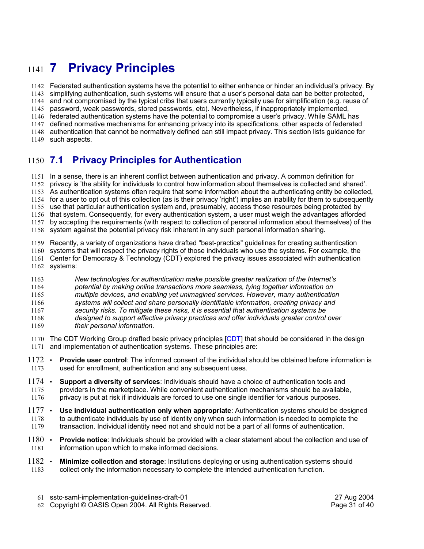# **7 Privacy Principles** 1141

Federated authentication systems have the potential to either enhance or hinder an individual's privacy. By 1142 1143 simplifying authentication, such systems will ensure that a user's personal data can be better protected, and not compromised by the typical cribs that users currently typically use for simplification (e.g. reuse of 1144 1145 password, weak passwords, stored passwords, etc). Nevertheless, if inappropriately implemented, 1146 federated authentication systems have the potential to compromise a user's privacy. While SAML has defined normative mechanisms for enhancing privacy into its specifications, other aspects of federated 1147 1148 authentication that cannot be normatively defined can still impact privacy. This section lists guidance for 1149 such aspects.

### **7.1 Privacy Principles for Authentication**  $1150$  7.1

1151 In a sense, there is an inherent conflict between authentication and privacy. A common definition for 1152 privacy is 'the ability for individuals to control how information about themselves is collected and shared'. As authentication systems often require that some information about the authenticating entity be collected, 1153 1154 for a user to opt out of this collection (as is their privacy 'right') implies an inability for them to subsequently 1155 use that particular authentication system and, presumably, access those resources being protected by 1156 that system. Consequently, for every authentication system, a user must weigh the advantages afforded by accepting the requirements (with respect to collection of personal information about themselves) of the 1158 system against the potential privacy risk inherent in any such personal information sharing. 1157

Recently, a variety of organizations have drafted "best-practice" guidelines for creating authentication 1159

- systems that will respect the privacy rights of those individuals who use the systems. For example, the 1160
- Center for Democracy & Technology (CDT) explored the privacy issues associated with authentication 1161 1162 systems:
- *New technologies for authentication make possible greater realization of the Internet's* 1163
- *potential by making online transactions more seamless, tying together information on* 1164

*multiple devices, and enabling yet unimagined services. However, many authentication* 1165

*systems will collect and share personally identifiable information, creating privacy and security risks. To mitigate these risks, it is essential that authentication systems be* 1166 1167

*designed to support effective privacy practices and offer individuals greater control over* 1168

- *their personal information.* 1169
- 1170 The CDT Working Group drafted basic privacy principles  $[CDT]$  that should be considered in the design 1171 and implementation of authentication systems. These principles are:
- **Provide user control**: The informed consent of the individual should be obtained before information is used for enrollment, authentication and any subsequent uses.  $1172$   $\cdot$ 1173
- **Support a diversity of services**: Individuals should have a choice of authentication tools and providers in the marketplace. While convenient authentication mechanisms should be available, privacy is put at risk if individuals are forced to use one single identifier for various purposes.  $1174$   $\cdot$ 1175 1176
- **Use individual authentication only when appropriate**: Authentication systems should be designed to authenticate individuals by use of identity only when such information is needed to complete the transaction. Individual identity need not and should not be a part of all forms of authentication.  $1177$   $\cdot$ 1178 1179
- **Provide notice**: Individuals should be provided with a clear statement about the collection and use of information upon which to make informed decisions.  $1180$   $\cdot$ 1181
- **Minimize collection and storage**: Institutions deploying or using authentication systems should collect only the information necessary to complete the intended authentication function.  $1182$   $\cdot$ 1183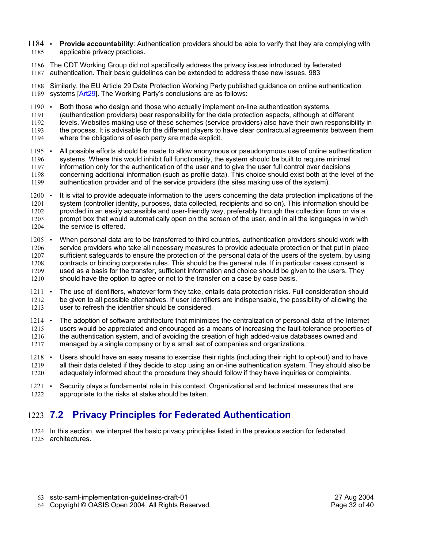- **Provide accountability:** Authentication providers should be able to verify that they are complying with applicable privacy practices.  $1184$   $\cdot$ 1185
- 1186 The CDT Working Group did not specifically address the privacy issues introduced by federated authentication. Their basic guidelines can be extended to address these new issues. 983 1187

Similarly, the EU Article 29 Data Protection Working Party published guidance on online authentication 1189 systems [Art29]. The Working Party's conclusions are as follows: 1188

• Both those who design and those who actually implement on-line authentication systems 1190  $\cdot$ 

(authentication providers) bear responsibility for the data protection aspects, although at different 1191

levels. Websites making use of these schemes (service providers) also have their own responsibility in the process. It is advisable for the different players to have clear contractual agreements between them 1192 1193

- where the obligations of each party are made explicit. 1194
- All possible efforts should be made to allow anonymous or pseudonymous use of online authentication systems. Where this would inhibit full functionality, the system should be built to require minimal information only for the authentication of the user and to give the user full control over decisions concerning additional information (such as profile data). This choice should exist both at the level of the authentication provider and of the service providers (the sites making use of the system).  $1195$   $\cdot$ 1196 1197 1198 1199
- It is vital to provide adequate information to the users concerning the data protection implications of the system (controller identity, purposes, data collected, recipients and so on). This information should be provided in an easily accessible and user-friendly way, preferably through the collection form or via a prompt box that would automatically open on the screen of the user, and in all the languages in which the service is offered.  $1200$   $\cdot$ 1201 1202 1203 1204
- When personal data are to be transferred to third countries, authentication providers should work with service providers who take all necessary measures to provide adequate protection or that put in place sufficient safeguards to ensure the protection of the personal data of the users of the system, by using contracts or binding corporate rules. This should be the general rule. If in particular cases consent is used as a basis for the transfer, sufficient information and choice should be given to the users. They should have the option to agree or not to the transfer on a case by case basis.  $1205$   $\cdot$ 1206 1207 1208 1209 1210
- The use of identifiers, whatever form they take, entails data protection risks. Full consideration should be given to all possible alternatives. If user identifiers are indispensable, the possibility of allowing the user to refresh the identifier should be considered.  $1211 -$ 1212 1213
- The adoption of software architecture that minimizes the centralization of personal data of the Internet users would be appreciated and encouraged as a means of increasing the fault-tolerance properties of the authentication system, and of avoiding the creation of high added-value databases owned and managed by a single company or by a small set of companies and organizations.  $1214$   $\cdot$ 1215 1216 1217
- Users should have an easy means to exercise their rights (including their right to opt-out) and to have all their data deleted if they decide to stop using an on-line authentication system. They should also be adequately informed about the procedure they should follow if they have inquiries or complaints.  $1218$   $\cdot$ 1219 1220
- Security plays a fundamental role in this context. Organizational and technical measures that are appropriate to the risks at stake should be taken.  $1221$   $\cdot$ 1222

# **7.2 Privacy Principles for Federated Authentication** 1223

1224 In this section, we interpret the basic privacy principles listed in the previous section for federated 1225 architectures.

sstc-saml-implementation-guidelines-draft-01 27 Aug 2004 63

<sup>64</sup> Copyright © OASIS Open 2004. All Rights Reserved. The example of the Page 32 of 40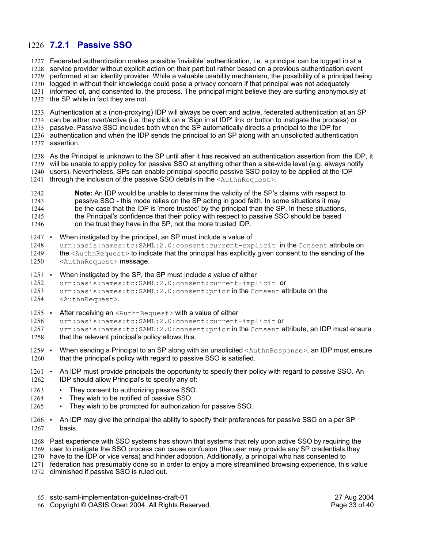### **7.2.1 Passive SSO** 1226

1227 Federated authentication makes possible 'invisible' authentication, i.e. a principal can be logged in at a

1228 service provider without explicit action on their part but rather based on a previous authentication event

performed at an identity provider. While a valuable usability mechanism, the possibility of a principal being 1229

1230 logged in without their knowledge could pose a privacy concern if that principal was not adequately

1231 informed of, and consented to, the process. The principal might believe they are surfing anonymously at

1232 the SP while in fact they are not.

1233 Authentication at a (non-proxying) IDP will always be overt and active, federated authentication at an SP

1234 can be either overt/active (i.e. they click on a 'Sign in at IDP' link or button to instigate the process) or

1235 passive. Passive SSO includes both when the SP automatically directs a principal to the IDP for

1236 authentication and when the IDP sends the principal to an SP along with an unsolicited authentication 1237 assertion.

1238 As the Principal is unknown to the SP until after it has received an authentication assertion from the IDP, it 1239 will be unable to apply policy for passive SSO at anything other than a site-wide level (e.g. always notify 1240 users). Nevertheless, SPs can enable principal-specific passive SSO policy to be applied at the IDP through the inclusion of the passive SSO details in the <AuthnRequest>. 1241

**Note:** An IDP would be unable to determine the validity of the SP's claims with respect to passive SSO - this mode relies on the SP acting in good faith. In some situations it may be the case that the IDP is 'more trusted' by the principal than the SP. In these situations, the Principal's confidence that their policy with respect to passive SSO should be based on the trust they have in the SP, not the more trusted IDP. 1242 1243 1244 1245 1246

• When instigated by the principal, an SP must include a value of  $1247$  •

urn:oasis:names:tc:SAML:2.0:consent:current-explicit in the Consent attribute on the <AuthnRequest> to indicate that the principal has explicitly given consent to the sending of the <AuthnRequest> message. 1248 1249 1250

• When instigated by the SP, the SP must include a value of either  $1251$   $\cdot$ 

urn:oasis:names:tc:SAML:2.0:consent:current-implicit or 1252

urn:oasis:names:tc:SAML:2.0:consent:prior in the Consent attribute on the 1253

- <AuthnRequest>. 1254
- After receiving an <AuthnRequest> with a value of either  $1255$   $\cdot$

urn:oasis:names:tc:SAML:2.0:consent:current-implicit or 1256

urn:oasis:names:tc:SAML:2.0:consent:prior in the Consent attribute, an IDP must ensure that the relevant principal's policy allows this. 1257 1258

- When sending a Principal to an SP along with an unsolicited <AuthnResponse>, an IDP must ensure that the principal's policy with regard to passive SSO is satisfied.  $1259$   $\cdot$ 1260
- 1261 An IDP must provide principals the opportunity to specify their policy with regard to passive SSO. An IDP should allow Principal's to specify any of: 1262
- They consent to authorizing passive SSO. 1263
- They wish to be notified of passive SSO. 1264
- They wish to be prompted for authorization for passive SSO. 1265
- An IDP may give the principal the ability to specify their preferences for passive SSO on a per SP basis.  $1266$  • 1267
- 1268 Past experience with SSO systems has shown that systems that rely upon active SSO by requiring the
- 1269 user to instigate the SSO process can cause confusion (the user may provide any SP credentials they

1270 have to the IDP or vice versa) and hinder adoption. Additionally, a principal who has consented to

1271 federation has presumably done so in order to enjoy a more streamlined browsing experience, this value

1272 diminished if passive SSO is ruled out.

sstc-saml-implementation-guidelines-draft-01 27 Aug 2004 65

66 Copyright © OASIS Open 2004. All Rights Reserved. The example of the Page 33 of 40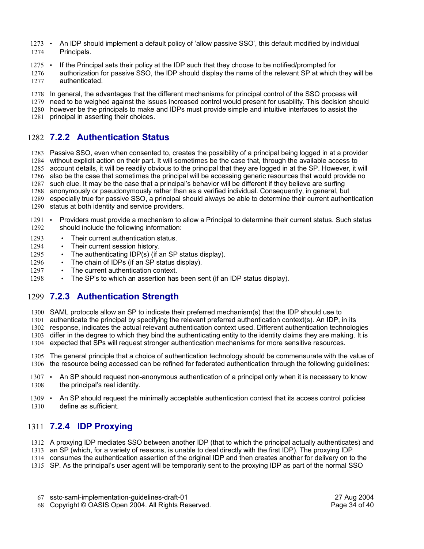- An IDP should implement a default policy of 'allow passive SSO', this default modified by individual Principals.  $1273$   $\cdot$ 1274
- If the Principal sets their policy at the IDP such that they choose to be notified/prompted for  $1275$   $\cdot$
- authorization for passive SSO, the IDP should display the name of the relevant SP at which they will be authenticated. 1276 1277
- 1278 In general, the advantages that the different mechanisms for principal control of the SSO process will
- 1279 need to be weighed against the issues increased control would present for usability. This decision should
- 1280 however be the principals to make and IDPs must provide simple and intuitive interfaces to assist the
- 1281 principal in asserting their choices.

### **7.2.2 Authentication Status** 1282

- 1283 Passive SSO, even when consented to, creates the possibility of a principal being logged in at a provider 1284 without explicit action on their part. It will sometimes be the case that, through the available access to 1285 account details, it will be readily obvious to the principal that they are logged in at the SP. However, it will 1286 also be the case that sometimes the principal will be accessing generic resources that would provide no 1287 such clue. It may be the case that a principal's behavior will be different if they believe are surfing
- 1288 anonymously or pseudonymously rather than as a verified individual. Consequently, in general, but
- 1289 especially true for passive SSO, a principal should always be able to determine their current authentication 1290 status at both identity and service providers.
- 
- Providers must provide a mechanism to allow a Principal to determine their current status. Such status should include the following information:  $1291$   $\cdot$ 1292
- Their current authentication status. 1293
- Their current session history. 1294
- The authenticating IDP(s) (if an SP status display). 1295
- The chain of IDPs (if an SP status display). 1296
- The current authentication context. 1297
- The SP's to which an assertion has been sent (if an IDP status display). 1298

### **7.2.3 Authentication Strength** 1299

- 1300 SAML protocols allow an SP to indicate their preferred mechanism(s) that the IDP should use to
- 1301 authenticate the principal by specifying the relevant preferred authentication context(s). An IDP, in its
- 1302 response, indicates the actual relevant authentication context used. Different authentication technologies
- 1303 differ in the degree to which they bind the authenticating entity to the identity claims they are making. It is
- 1304 expected that SPs will request stronger authentication mechanisms for more sensitive resources.
- 1305 The general principle that a choice of authentication technology should be commensurate with the value of 1306 the resource being accessed can be refined for federated authentication through the following guidelines:
- An SP should request non-anonymous authentication of a principal only when it is necessary to know the principal's real identity.  $1307 \cdot$ 1308
- An SP should request the minimally acceptable authentication context that its access control policies 1309 define as sufficient. 1310

### **7.2.4 IDP Proxying** 1311

- A proxying IDP mediates SSO between another IDP (that to which the principal actually authenticates) and 1312
- 1313 an SP (which, for a variety of reasons, is unable to deal directly with the first IDP). The proxying IDP
- consumes the authentication assertion of the original IDP and then creates another for delivery on to the 1314
- 1315 SP. As the principal's user agent will be temporarily sent to the proxying IDP as part of the normal SSO
	- sstc-saml-implementation-guidelines-draft-01 27 Aug 2004 67
	- 68 Copyright © OASIS Open 2004. All Rights Reserved. The example of the Page 34 of 40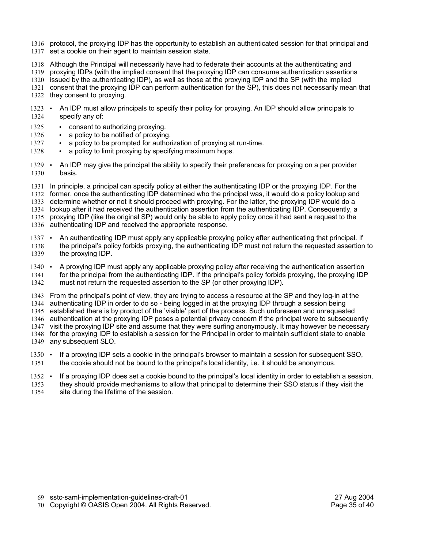- 1316 protocol, the proxying IDP has the opportunity to establish an authenticated session for that principal and
- 1317 set a cookie on their agent to maintain session state.
- Although the Principal will necessarily have had to federate their accounts at the authenticating and 1318
- 1319 proxying IDPs (with the implied consent that the proxying IDP can consume authentication assertions
- 1320 issued by the authenticating IDP), as well as those at the proxying IDP and the SP (with the implied
- consent that the proxying IDP can perform authentication for the SP), this does not necessarily mean that 1321 1322 they consent to proxying.
- 1323 An IDP must allow principals to specify their policy for proxying. An IDP should allow principals to specify any of: 1324
- consent to authorizing proxying. 1325
- a policy to be notified of proxying. 1326
- a policy to be prompted for authorization of proxying at run-time. 1327
- a policy to limit proxying by specifying maximum hops. 1328
- 1329 An IDP may give the principal the ability to specify their preferences for proxying on a per provider basis. 1330
- 1331 In principle, a principal can specify policy at either the authenticating IDP or the proxying IDP. For the former, once the authenticating IDP determined who the principal was, it would do a policy lookup and 1333 determine whether or not it should proceed with proxying. For the latter, the proxying IDP would do a 1334 lookup after it had received the authentication assertion from the authenticating IDP. Consequently, a 1335 proxying IDP (like the original SP) would only be able to apply policy once it had sent a request to the 1336 authenticating IDP and received the appropriate response. 1332
- An authenticating IDP must apply any applicable proxying policy after authenticating that principal. If the principal's policy forbids proxying, the authenticating IDP must not return the requested assertion to the proxying IDP.  $1337 \cdot$ 1338 1339
- A proxying IDP must apply any applicable proxying policy after receiving the authentication assertion for the principal from the authenticating IDP. If the principal's policy forbids proxying, the proxying IDP must not return the requested assertion to the SP (or other proxying IDP).  $1340 \cdot$ 1341 1342
- From the principal's point of view, they are trying to access a resource at the SP and they log-in at the 1343 1344 authenticating IDP in order to do so - being logged in at the proxying IDP through a session being established there is by product of the 'visible' part of the process. Such unforeseen and unrequested 1346 authentication at the proxying IDP poses a potential privacy concern if the principal were to subsequently 1347 visit the proxying IDP site and assume that they were surfing anonymously. It may however be necessary 1348 for the proxying IDP to establish a session for the Principal in order to maintain sufficient state to enable 1349 any subsequent SLO. 1345
- 1350 If a proxying IDP sets a cookie in the principal's browser to maintain a session for subsequent SSO, the cookie should not be bound to the principal's local identity, i.e. it should be anonymous. 1351
- If a proxying IDP does set a cookie bound to the principal's local identity in order to establish a session, they should provide mechanisms to allow that principal to determine their SSO status if they visit the site during the lifetime of the session.  $1352$   $\cdot$ 1353 1354

- sstc-saml-implementation-guidelines-draft-01 27 Aug 2004 69
- 70 Copyright © OASIS Open 2004. All Rights Reserved. The example of the Page 35 of 40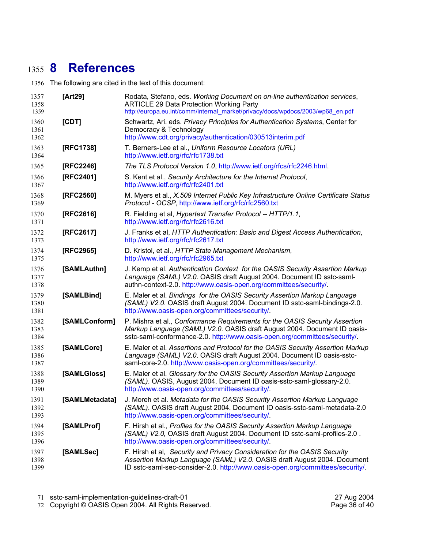# **8 References** 1355

1356 The following are cited in the text of this document:

| 1357<br>1358<br>1359 | [Art29]       | Rodata, Stefano, eds. Working Document on on-line authentication services,<br><b>ARTICLE 29 Data Protection Working Party</b><br>http://europa.eu.int/comm/internal_market/privacy/docs/wpdocs/2003/wp68_en.pdf                         |  |
|----------------------|---------------|-----------------------------------------------------------------------------------------------------------------------------------------------------------------------------------------------------------------------------------------|--|
| 1360<br>1361<br>1362 | [CDT]         | Schwartz, Ari. eds. Privacy Principles for Authentication Systems, Center for<br>Democracy & Technology<br>http://www.cdt.org/privacy/authentication/030513interim.pdf                                                                  |  |
| 1363<br>1364         | [RFC1738]     | T. Berners-Lee et al., Uniform Resource Locators (URL)<br>http://www.ietf.org/rfc/rfc1738.txt                                                                                                                                           |  |
| 1365                 | [RFC2246]     | The TLS Protocol Version 1.0, http://www.ietf.org/rfcs/rfc2246.html.                                                                                                                                                                    |  |
| 1366<br>1367         | [RFC2401]     | S. Kent et al., Security Architecture for the Internet Protocol,<br>http://www.ietf.org/rfc/rfc2401.txt                                                                                                                                 |  |
| 1368<br>1369         | [RFC2560]     | M. Myers et al., X.509 Internet Public Key Infrastructure Online Certificate Status<br>Protocol - OCSP, http://www.ietf.org/rfc/rfc2560.txt                                                                                             |  |
| 1370<br>1371         | [RFC2616]     | R. Fielding et al, Hypertext Transfer Protocol -- HTTP/1.1,<br>http://www.ietf.org/rfc/rfc2616.txt                                                                                                                                      |  |
| 1372<br>1373         | [RFC2617]     | J. Franks et al, HTTP Authentication: Basic and Digest Access Authentication,<br>http://www.ietf.org/rfc/rfc2617.txt                                                                                                                    |  |
| 1374<br>1375         | [RFC2965]     | D. Kristol, et al., HTTP State Management Mechanism,<br>http://www.ietf.org/rfc/rfc2965.txt                                                                                                                                             |  |
| 1376<br>1377<br>1378 | [SAMLAuthn]   | J. Kemp et al. Authentication Context for the OASIS Security Assertion Markup<br>Language (SAML) V2.0. OASIS draft August 2004. Document ID sstc-saml-<br>authn-context-2.0. http://www.oasis-open.org/committees/security/.            |  |
| 1379<br>1380<br>1381 | [SAMLBind]    | E. Maler et al. Bindings for the OASIS Security Assertion Markup Language<br>(SAML) V2.0. OASIS draft August 2004. Document ID sstc-saml-bindings-2.0.<br>http://www.oasis-open.org/committees/security/.                               |  |
| 1382<br>1383<br>1384 | [SAMLConform] | P. Mishra et al., Conformance Requirements for the OASIS Security Assertion<br>Markup Language (SAML) V2.0. OASIS draft August 2004. Document ID oasis-<br>sstc-saml-conformance-2.0. http://www.oasis-open.org/committees/security/.   |  |
| 1385<br>1386<br>1387 | [SAMLCore]    | E. Maler et al. Assertions and Protocol for the OASIS Security Assertion Markup<br>Language (SAML) V2.0. OASIS draft August 2004. Document ID oasis-sstc-<br>saml-core-2.0. http://www.oasis-open.org/committees/security/.             |  |
| 1388<br>1389<br>1390 | [SAMLGloss]   | E. Maler et al. Glossary for the OASIS Security Assertion Markup Language<br>(SAML). OASIS, August 2004. Document ID oasis-sstc-saml-glossary-2.0.<br>http://www.oasis-open.org/committees/security/.                                   |  |
| 1391<br>1392<br>1393 |               | [SAMLMetadata] J. Moreh et al. Metadata for the OASIS Security Assertion Markup Language<br>(SAML). OASIS draft August 2004. Document ID oasis-sstc-saml-metadata-2.0<br>http://www.oasis-open.org/committees/security/.                |  |
| 1394<br>1395<br>1396 | [SAMLProf]    | F. Hirsh et al., Profiles for the OASIS Security Assertion Markup Language<br>(SAML) V2.0, OASIS draft August 2004. Document ID sstc-saml-profiles-2.0.<br>http://www.oasis-open.org/committees/security/.                              |  |
| 1397<br>1398<br>1399 | [SAMLSec]     | F. Hirsh et al, Security and Privacy Consideration for the OASIS Security<br>Assertion Markup Language (SAML) V2.0. OASIS draft August 2004. Document<br>ID sstc-saml-sec-consider-2.0. http://www.oasis-open.org/committees/security/. |  |

Copyright © OASIS Open 2004. All Rights Reserved. Page 36 of 40 72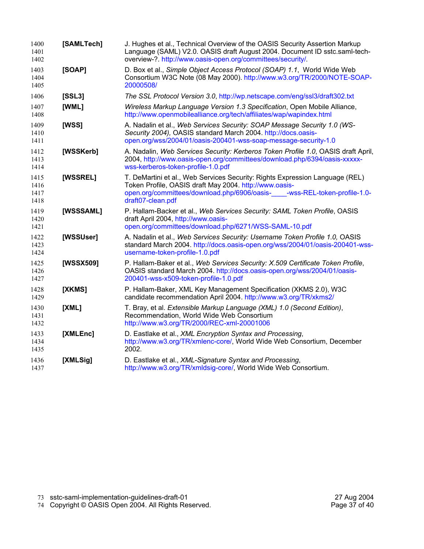| 1400<br>1401<br>1402         | [SAMLTech] | J. Hughes et al., Technical Overview of the OASIS Security Assertion Markup<br>Language (SAML) V2.0. OASIS draft August 2004. Document ID sstc.saml-tech-<br>overview-?. http://www.oasis-open.org/committees/security/.                   |  |  |
|------------------------------|------------|--------------------------------------------------------------------------------------------------------------------------------------------------------------------------------------------------------------------------------------------|--|--|
| 1403<br>1404<br>1405         | [SOAP]     | D. Box et al., Simple Object Access Protocol (SOAP) 1.1, World Wide Web<br>Consortium W3C Note (08 May 2000). http://www.w3.org/TR/2000/NOTE-SOAP-<br>20000508/                                                                            |  |  |
| 1406                         | [SSL3]     | The SSL Protocol Version 3.0, http://wp.netscape.com/eng/ssl3/draft302.txt                                                                                                                                                                 |  |  |
| 1407<br>1408                 | [WML]      | Wireless Markup Language Version 1.3 Specification, Open Mobile Alliance,<br>http://www.openmobilealliance.org/tech/affiliates/wap/wapindex.html                                                                                           |  |  |
| 1409<br>1410<br>1411         | [WSS]      | A. Nadalin et al., Web Services Security: SOAP Message Security 1.0 (WS-<br>Security 2004), OASIS standard March 2004. http://docs.oasis-<br>open.org/wss/2004/01/oasis-200401-wss-soap-message-security-1.0                               |  |  |
| 1412<br>1413<br>1414         | [WSSKerb]  | A. Nadalin, Web Services Security: Kerberos Token Profile 1.0, OASIS draft April,<br>2004, http://www.oasis-open.org/committees/download.php/6394/oasis-xxxxx-<br>wss-kerberos-token-profile-1.0.pdf                                       |  |  |
| 1415<br>1416<br>1417<br>1418 | [WSSREL]   | T. DeMartini et al., Web Services Security: Rights Expression Language (REL)<br>Token Profile, OASIS draft May 2004. http://www.oasis-<br>open.org/committees/download.php/6906/oasis-<br>-wss-REL-token-profile-1.0-<br>draft07-clean.pdf |  |  |
| 1419<br>1420<br>1421         | [WSSSAML]  | P. Hallam-Backer et al., Web Services Security: SAML Token Profile, OASIS<br>draft April 2004, http://www.oasis-<br>open.org/committees/download.php/6271/WSS-SAML-10.pdf                                                                  |  |  |
| 1422<br>1423<br>1424         | [WSSUser]  | A. Nadalin et al., Web Services Security: Username Token Profile 1.0, OASIS<br>standard March 2004. http://docs.oasis-open.org/wss/2004/01/oasis-200401-wss-<br>username-token-profile-1.0.pdf                                             |  |  |
| 1425<br>1426<br>1427         | [WSSX509]  | P. Hallam-Baker et al., Web Services Security: X.509 Certificate Token Profile,<br>OASIS standard March 2004. http://docs.oasis-open.org/wss/2004/01/oasis-<br>200401-wss-x509-token-profile-1.0.pdf                                       |  |  |
| 1428<br>1429                 | [XKMS]     | P. Hallam-Baker, XML Key Management Specification (XKMS 2.0), W3C<br>candidate recommendation April 2004. http://www.w3.org/TR/xkms2/                                                                                                      |  |  |
| 1430<br>1431<br>1432         | [XML]      | T. Bray, et al. Extensible Markup Language (XML) 1.0 (Second Edition),<br>Recommendation, World Wide Web Consortium<br>http://www.w3.org/TR/2000/REC-xml-20001006                                                                          |  |  |
| 1433<br>1434<br>1435         | [XMLEnc]   | D. Eastlake et al., XML Encryption Syntax and Processing,<br>http://www.w3.org/TR/xmlenc-core/, World Wide Web Consortium, December<br>2002.                                                                                               |  |  |
| 1436<br>1437                 | [XMLSig]   | D. Eastlake et al., XML-Signature Syntax and Processing,<br>http://www.w3.org/TR/xmldsig-core/, World Wide Web Consortium.                                                                                                                 |  |  |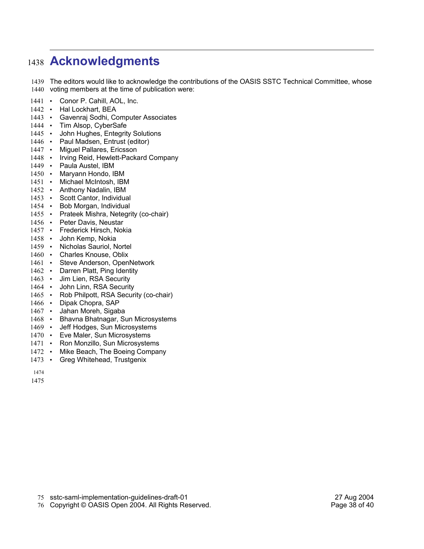# **Acknowledgments** 1438

1439 The editors would like to acknowledge the contributions of the OASIS SSTC Technical Committee, whose 1440 voting members at the time of publication were:

- 1441 Conor P. Cahill, AOL, Inc.
- 1442 Hal Lockhart, BEA
- 1443 Gavenraj Sodhi, Computer Associates
- 1444 Tim Alsop, CyberSafe
- 1445 John Hughes, Entegrity Solutions
- 1446 Paul Madsen, Entrust (editor)
- 1447 · Miguel Pallares, Ericsson
- 1448 Irving Reid, Hewlett-Packard Company
- 1449 · Paula Austel, IBM
- 1450 Maryann Hondo, IBM
- 1451 Michael McIntosh, IBM
- 1452 Anthony Nadalin, IBM
- 1453 Scott Cantor, Individual
- 1454 Bob Morgan, Individual
- 1455 Prateek Mishra, Netegrity (co-chair)
- 1456 · Peter Davis, Neustar
- 1457 Frederick Hirsch, Nokia
- 1458 · John Kemp, Nokia
- 1459 Nicholas Sauriol, Nortel
- 1460 Charles Knouse, Oblix
- 1461 Steve Anderson, OpenNetwork
- 1462 Darren Platt, Ping Identity
- 1463 Jim Lien, RSA Security
- 1464 John Linn, RSA Security
- 1465 Rob Philpott, RSA Security (co-chair)
- 1466 · Dipak Chopra, SAP
- 1467 · Jahan Moreh, Sigaba
- 1468 Bhavna Bhatnagar, Sun Microsystems
- 1469 Jeff Hodges, Sun Microsystems
- 1470 Eve Maler, Sun Microsystems
- 1471 Ron Monzillo, Sun Microsystems
- 1472 Mike Beach, The Boeing Company
- 1473 Greg Whitehead, Trustgenix
- 1474

1475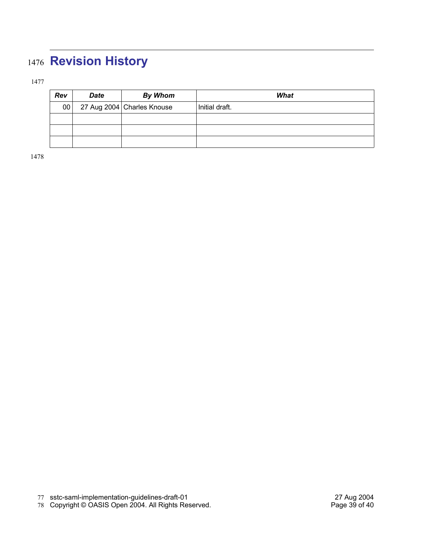# **Revision History**

| Rev | <b>Date</b> | <b>By Whom</b>             | What           |
|-----|-------------|----------------------------|----------------|
| 00  |             | 27 Aug 2004 Charles Knouse | Initial draft. |
|     |             |                            |                |
|     |             |                            |                |
|     |             |                            |                |

Copyright © OASIS Open 2004. All Rights Reserved. Page 39 of 40